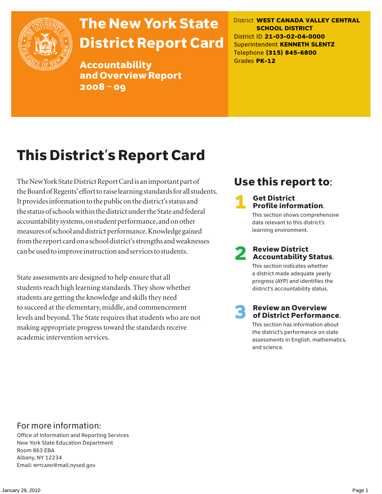

# The New York State District Report Card

Accountability and Overview Report 2008–09

District **WEST CANADA VALLEY CENTRAL SCHOOL DISTRICT** District ID **21-03-02-04-0000** Superintendent **KENNETH SLENTZ** Telephone **(315) 845-6800** Grades **PK-12**

# This District's Report Card

The New York State District Report Card is an important part of the Board of Regents' effort to raise learning standards for all students. It provides information to the public on the district's status and the status of schools within the district under the State and federal accountability systems, on student performance, and on other measures of school and district performance. Knowledge gained from the report card on a school district's strengths and weaknesses can be used to improve instruction and services to students.

State assessments are designed to help ensure that all students reach high learning standards. They show whether students are getting the knowledge and skills they need to succeed at the elementary, middle, and commencement levels and beyond. The State requires that students who are not making appropriate progress toward the standards receive academic intervention services.

# Use this report to:

#### **Get District** Profile information.

This section shows comprehensive data relevant to this district's learning environment.

# **2** Review District<br>Accountability Status.

This section indicates whether a district made adequate yearly progress (AYP) and identifies the district's accountability status.

# **3** Review an Overview<br>
of District Performance.

This section has information about the district's performance on state assessments in English, mathematics, and science.

### For more information:

Office of Information and Reporting Services New York State Education Department Room 863 EBA Albany, NY 12234 Email: RPTCARD@mail.nysed.gov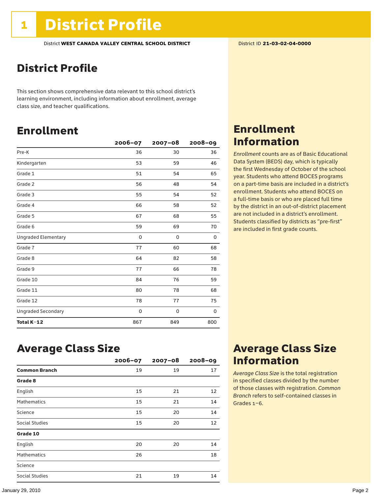## District Profile

This section shows comprehensive data relevant to this school district's learning environment, including information about enrollment, average class size, and teacher qualifications.

## Enrollment

|                            | $2006 - 07$ | $2007 - 08$ | $2008 - 09$ |
|----------------------------|-------------|-------------|-------------|
| Pre-K                      | 36          | 30          | 36          |
| Kindergarten               | 53          | 59          | 46          |
| Grade 1                    | 51          | 54          | 65          |
| Grade 2                    | 56          | 48          | 54          |
| Grade 3                    | 55          | 54          | 52          |
| Grade 4                    | 66          | 58          | 52          |
| Grade 5                    | 67          | 68          | 55          |
| Grade 6                    | 59          | 69          | 70          |
| <b>Ungraded Elementary</b> | 0           | 0           | 0           |
| Grade 7                    | 77          | 60          | 68          |
| Grade 8                    | 64          | 82          | 58          |
| Grade 9                    | 77          | 66          | 78          |
| Grade 10                   | 84          | 76          | 59          |
| Grade 11                   | 80          | 78          | 68          |
| Grade 12                   | 78          | 77          | 75          |
| <b>Ungraded Secondary</b>  | 0           | 0           | 0           |
| Total K-12                 | 867         | 849         | 800         |

### Enrollment Information

*Enrollment* counts are as of Basic Educational Data System (BEDS) day, which is typically the first Wednesday of October of the school year. Students who attend BOCES programs on a part-time basis are included in a district's enrollment. Students who attend BOCES on a full-time basis or who are placed full time by the district in an out-of-district placement are not included in a district's enrollment. Students classified by districts as "pre-first" are included in first grade counts.

### Average Class Size

|                      | $2006 - 07$ | $2007 - 08$ | $2008 - 09$ |
|----------------------|-------------|-------------|-------------|
| <b>Common Branch</b> | 19          | 19          | 17          |
| Grade 8              |             |             |             |
| English              | 15          | 21          | 12          |
| <b>Mathematics</b>   | 15          | 21          | 14          |
| Science              | 15          | 20          | 14          |
| Social Studies       | 15          | 20          | 12          |
| Grade 10             |             |             |             |
| English              | 20          | 20          | 14          |
| <b>Mathematics</b>   | 26          |             | 18          |
| Science              |             |             |             |
| Social Studies       | 21          | 19          | 14          |

### Average Class Size Information

*Average Class Size* is the total registration in specified classes divided by the number of those classes with registration. *Common Branch* refers to self-contained classes in Grades 1–6.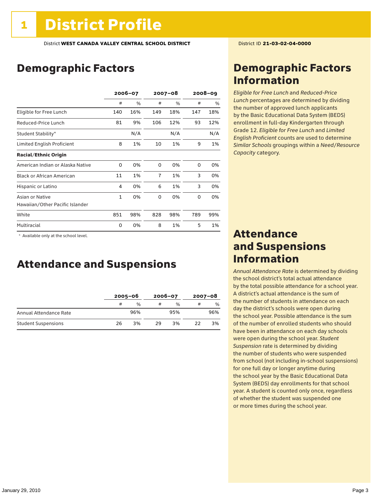## Demographic Factors

|                                  | 2006-07 |     | $2007 - 08$    |     | $2008 - 09$ |      |
|----------------------------------|---------|-----|----------------|-----|-------------|------|
|                                  | #       | %   | #              | %   | #           | $\%$ |
| Eligible for Free Lunch          | 140     | 16% | 149            | 18% | 147         | 18%  |
| Reduced-Price Lunch              | 81      | 9%  | 106            | 12% | 93          | 12%  |
| Student Stability*               |         | N/A |                | N/A |             | N/A  |
| Limited English Proficient       | 8       | 1%  | 10             | 1%  | 9           | 1%   |
| <b>Racial/Ethnic Origin</b>      |         |     |                |     |             |      |
| American Indian or Alaska Native | 0       | 0%  | 0              | 0%  | $\Omega$    | 0%   |
| <b>Black or African American</b> | 11      | 1%  | $\overline{7}$ | 1%  | 3           | 0%   |
| Hispanic or Latino               | 4       | 0%  | 6              | 1%  | 3           | 0%   |
| Asian or Native                  | 1       | 0%  | 0              | 0%  | 0           | 0%   |
| Hawaiian/Other Pacific Islander  |         |     |                |     |             |      |
| White                            | 851     | 98% | 828            | 98% | 789         | 99%  |
| Multiracial                      | 0       | 0%  | 8              | 1%  | 5           | 1%   |

\* Available only at the school level.

### Attendance and Suspensions

|                            |    | $2005 - 06$   |    | $2006 - 07$   |    | $2007 - 08$ |  |
|----------------------------|----|---------------|----|---------------|----|-------------|--|
|                            | #  | $\frac{0}{0}$ |    | $\frac{0}{0}$ | #  | %           |  |
| Annual Attendance Rate     |    | 96%           |    | 95%           |    | 96%         |  |
| <b>Student Suspensions</b> | 26 | 3%            | 29 | 3%            | 22 | 3%          |  |

### Demographic Factors Information

*Eligible for Free Lunch* and *Reduced*-*Price Lunch* percentages are determined by dividing the number of approved lunch applicants by the Basic Educational Data System (BEDS) enrollment in full-day Kindergarten through Grade 12. *Eligible for Free Lunch* and *Limited English Proficient* counts are used to determine *Similar Schools* groupings within a *Need*/*Resource Capacity* category.

### Attendance and Suspensions Information

*Annual Attendance Rate* is determined by dividing the school district's total actual attendance by the total possible attendance for a school year. A district's actual attendance is the sum of the number of students in attendance on each day the district's schools were open during the school year. Possible attendance is the sum of the number of enrolled students who should have been in attendance on each day schools were open during the school year. *Student Suspension* rate is determined by dividing the number of students who were suspended from school (not including in-school suspensions) for one full day or longer anytime during the school year by the Basic Educational Data System (BEDS) day enrollments for that school year. A student is counted only once, regardless of whether the student was suspended one or more times during the school year.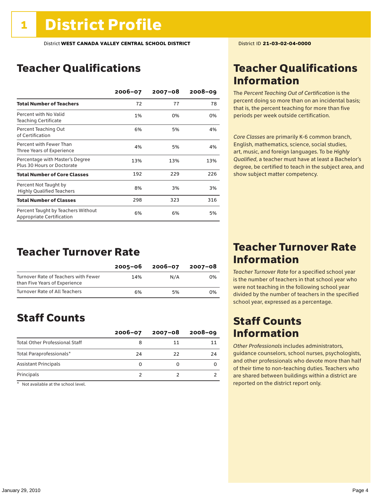## Teacher Qualifications

|                                                                 | 2006-07 | $2007 - 08$ | $2008 - 09$ |
|-----------------------------------------------------------------|---------|-------------|-------------|
| <b>Total Number of Teachers</b>                                 | 72      | 77          | 78          |
| Percent with No Valid<br><b>Teaching Certificate</b>            | 1%      | 0%          | 0%          |
| Percent Teaching Out<br>of Certification                        | 6%      | 5%          | 4%          |
| Percent with Fewer Than<br>Three Years of Experience            | 4%      | 5%          | 4%          |
| Percentage with Master's Degree<br>Plus 30 Hours or Doctorate   | 13%     | 13%         | 13%         |
| <b>Total Number of Core Classes</b>                             | 192     | 229         | 226         |
| Percent Not Taught by<br><b>Highly Qualified Teachers</b>       | 8%      | 3%          | 3%          |
| <b>Total Number of Classes</b>                                  | 298     | 323         | 316         |
| Percent Taught by Teachers Without<br>Appropriate Certification | 6%      | 6%          | 5%          |

### Teacher Turnover Rate

|                                                                       | 2005-06 | 2006-07 | 2007-08 |
|-----------------------------------------------------------------------|---------|---------|---------|
| Turnover Rate of Teachers with Fewer<br>than Five Years of Experience | 14%     | N/A     | 0%      |
| Turnover Rate of All Teachers                                         | 6%      | 5%      | 0%      |

### Staff Counts

|                                       | $2006 - 07$ | 2007-08 | $2008 - 09$ |
|---------------------------------------|-------------|---------|-------------|
| <b>Total Other Professional Staff</b> |             | 11      |             |
| Total Paraprofessionals*              | 24          | 22      | 24          |
| <b>Assistant Principals</b>           |             |         |             |
| Principals                            |             |         |             |

 $*$  Not available at the school level.

### Teacher Qualifications Information

The *Percent Teaching Out of Certification* is the percent doing so more than on an incidental basis; that is, the percent teaching for more than five periods per week outside certification.

*Core Classes* are primarily K-6 common branch, English, mathematics, science, social studies, art, music, and foreign languages. To be *Highly Qualified*, a teacher must have at least a Bachelor's degree, be certified to teach in the subject area, and show subject matter competency.

### Teacher Turnover Rate Information

*Teacher Turnover Rate* for a specified school year is the number of teachers in that school year who were not teaching in the following school year divided by the number of teachers in the specified school year, expressed as a percentage.

### Staff Counts Information

*Other Professionals* includes administrators, guidance counselors, school nurses, psychologists, and other professionals who devote more than half of their time to non-teaching duties. Teachers who are shared between buildings within a district are reported on the district report only.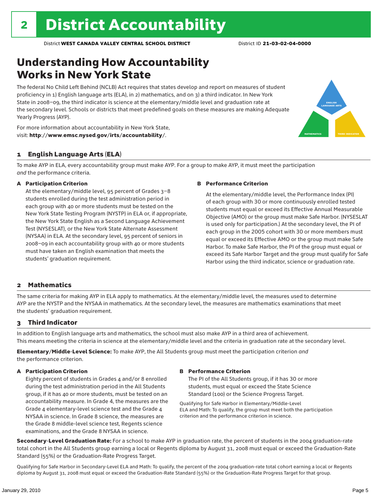# Understanding How Accountability Works in New York State

The federal No Child Left Behind (NCLB) Act requires that states develop and report on measures of student proficiency in 1) English language arts (ELA), in 2) mathematics, and on 3) a third indicator. In New York State in 2008–09, the third indicator is science at the elementary/middle level and graduation rate at the secondary level. Schools or districts that meet predefined goals on these measures are making Adequate Yearly Progress (AYP).



For more information about accountability in New York State, visit: http://www.emsc.nysed.gov/irts/accountability/.

#### 1 English Language Arts (ELA)

To make AYP in ELA, every accountability group must make AYP. For a group to make AYP, it must meet the participation *and* the performance criteria.

#### A Participation Criterion

At the elementary/middle level, 95 percent of Grades 3–8 students enrolled during the test administration period in each group with 40 or more students must be tested on the New York State Testing Program (NYSTP) in ELA or, if appropriate, the New York State English as a Second Language Achievement Test (NYSESLAT), or the New York State Alternate Assessment (NYSAA) in ELA. At the secondary level, 95 percent of seniors in 2008–09 in each accountability group with 40 or more students must have taken an English examination that meets the students' graduation requirement.

#### B Performance Criterion

At the elementary/middle level, the Performance Index (PI) of each group with 30 or more continuously enrolled tested students must equal or exceed its Effective Annual Measurable Objective (AMO) or the group must make Safe Harbor. (NYSESLAT is used only for participation.) At the secondary level, the PI of each group in the 2005 cohort with 30 or more members must equal or exceed its Effective AMO or the group must make Safe Harbor. To make Safe Harbor, the PI of the group must equal or exceed its Safe Harbor Target and the group must qualify for Safe Harbor using the third indicator, science or graduation rate.

#### 2 Mathematics

The same criteria for making AYP in ELA apply to mathematics. At the elementary/middle level, the measures used to determine AYP are the NYSTP and the NYSAA in mathematics. At the secondary level, the measures are mathematics examinations that meet the students' graduation requirement.

#### 3 Third Indicator

In addition to English language arts and mathematics, the school must also make AYP in a third area of achievement. This means meeting the criteria in science at the elementary/middle level and the criteria in graduation rate at the secondary level.

Elementary/Middle-Level Science: To make AYP, the All Students group must meet the participation criterion *and* the performance criterion.

#### A Participation Criterion

Eighty percent of students in Grades 4 and/or 8 enrolled during the test administration period in the All Students group, if it has 40 or more students, must be tested on an accountability measure. In Grade 4, the measures are the Grade 4 elementary-level science test and the Grade 4 NYSAA in science. In Grade 8 science, the measures are the Grade 8 middle-level science test, Regents science examinations, and the Grade 8 NYSAA in science.

#### B Performance Criterion

The PI of the All Students group, if it has 30 or more students, must equal or exceed the State Science Standard (100) or the Science Progress Target.

Qualifying for Safe Harbor in Elementary/Middle-Level ELA and Math: To qualify, the group must meet both the participation criterion and the performance criterion in science.

Secondary-Level Graduation Rate: For a school to make AYP in graduation rate, the percent of students in the 2004 graduation-rate total cohort in the All Students group earning a local or Regents diploma by August 31, 2008 must equal or exceed the Graduation-Rate Standard (55%) or the Graduation-Rate Progress Target.

Qualifying for Safe Harbor in Secondary-Level ELA and Math: To qualify, the percent of the 2004 graduation-rate total cohort earning a local or Regents diploma by August 31, 2008 must equal or exceed the Graduation-Rate Standard (55%) or the Graduation-Rate Progress Target for that group.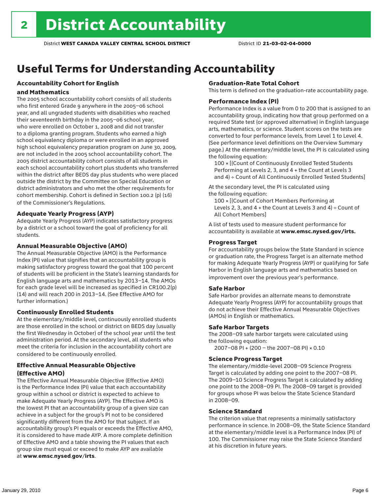# Useful Terms for Understanding Accountability

### Accountability Cohort for English

#### and Mathematics

The 2005 school accountability cohort consists of all students who first entered Grade 9 anywhere in the 2005–06 school year, and all ungraded students with disabilities who reached their seventeenth birthday in the 2005–06 school year, who were enrolled on October 1, 2008 and did not transfer to a diploma granting program. Students who earned a high school equivalency diploma or were enrolled in an approved high school equivalency preparation program on June 30, 2009, are not included in the 2005 school accountability cohort. The 2005 district accountability cohort consists of all students in each school accountability cohort plus students who transferred within the district after BEDS day plus students who were placed outside the district by the Committee on Special Education or district administrators and who met the other requirements for cohort membership. Cohort is defined in Section 100.2 (p) (16) of the Commissioner's Regulations.

#### Adequate Yearly Progress (AYP)

Adequate Yearly Progress (AYP) indicates satisfactory progress by a district or a school toward the goal of proficiency for all students.

#### Annual Measurable Objective (AMO)

The Annual Measurable Objective (AMO) is the Performance Index (PI) value that signifies that an accountability group is making satisfactory progress toward the goal that 100 percent of students will be proficient in the State's learning standards for English language arts and mathematics by 2013–14. The AMOs for each grade level will be increased as specified in CR100.2(p) (14) and will reach 200 in 2013–14. (See Effective AMO for further information.)

#### Continuously Enrolled Students

At the elementary/middle level, continuously enrolled students are those enrolled in the school or district on BEDS day (usually the first Wednesday in October) of the school year until the test administration period. At the secondary level, all students who meet the criteria for inclusion in the accountability cohort are considered to be continuously enrolled.

#### Effective Annual Measurable Objective (Effective AMO)

The Effective Annual Measurable Objective (Effective AMO) is the Performance Index (PI) value that each accountability group within a school or district is expected to achieve to make Adequate Yearly Progress (AYP). The Effective AMO is the lowest PI that an accountability group of a given size can achieve in a subject for the group's PI not to be considered significantly different from the AMO for that subject. If an accountability group's PI equals or exceeds the Effective AMO, it is considered to have made AYP. A more complete definition of Effective AMO and a table showing the PI values that each group size must equal or exceed to make AYP are available at www.emsc.nysed.gov/irts.

#### Graduation-Rate Total Cohort

This term is defined on the graduation-rate accountability page.

#### Performance Index (PI)

Performance Index is a value from 0 to 200 that is assigned to an accountability group, indicating how that group performed on a required State test (or approved alternative) in English language arts, mathematics, or science. Student scores on the tests are converted to four performance levels, from Level 1 to Level 4. (See performance level definitions on the Overview Summary page.) At the elementary/middle level, the PI is calculated using the following equation:

100 × [(Count of Continuously Enrolled Tested Students Performing at Levels 2, 3, and 4 + the Count at Levels 3 and 4) ÷ Count of All Continuously Enrolled Tested Students]

At the secondary level, the PI is calculated using the following equation:

100 × [(Count of Cohort Members Performing at Levels 2, 3, and  $4 +$  the Count at Levels 3 and  $4$ ) ÷ Count of All Cohort Members]

A list of tests used to measure student performance for accountability is available at www.emsc.nysed.gov/irts.

#### Progress Target

For accountability groups below the State Standard in science or graduation rate, the Progress Target is an alternate method for making Adequate Yearly Progress (AYP) or qualifying for Safe Harbor in English language arts and mathematics based on improvement over the previous year's performance.

#### Safe Harbor

Safe Harbor provides an alternate means to demonstrate Adequate Yearly Progress (AYP) for accountability groups that do not achieve their Effective Annual Measurable Objectives (AMOs) in English or mathematics.

#### Safe Harbor Targets

The 2008–09 safe harbor targets were calculated using the following equation:

2007–08 PI + (200 – the 2007–08 PI) × 0.10

#### Science Progress Target

The elementary/middle-level 2008–09 Science Progress Target is calculated by adding one point to the 2007–08 PI. The 2009–10 Science Progress Target is calculated by adding one point to the 2008–09 PI. The 2008–09 target is provided for groups whose PI was below the State Science Standard in 2008–09.

#### Science Standard

The criterion value that represents a minimally satisfactory performance in science. In 2008–09, the State Science Standard at the elementary/middle level is a Performance Index (PI) of 100. The Commissioner may raise the State Science Standard at his discretion in future years.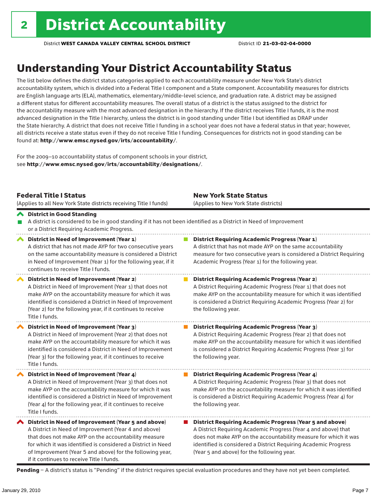# Understanding Your District Accountability Status

The list below defines the district status categories applied to each accountability measure under New York State's district accountability system, which is divided into a Federal Title I component and a State component. Accountability measures for districts are English language arts (ELA), mathematics, elementary/middle-level science, and graduation rate. A district may be assigned a different status for different accountability measures. The overall status of a district is the status assigned to the district for the accountability measure with the most advanced designation in the hierarchy. If the district receives Title I funds, it is the most advanced designation in the Title I hierarchy, unless the district is in good standing under Title I but identified as DRAP under the State hierarchy. A district that does not receive Title I funding in a school year does not have a federal status in that year; however, all districts receive a state status even if they do not receive Title I funding. Consequences for districts not in good standing can be found at: http://www.emsc.nysed.gov/irts/accountability/.

For the 2009–10 accountability status of component schools in your district, see http://www.emsc.nysed.gov/irts/accountability/designations/.

|                       | <b>Federal Title I Status</b><br>(Applies to all New York State districts receiving Title I funds)                                                                                                                                                                                                                                             | <b>New York State Status</b><br>(Applies to New York State districts)                                                                                                                                                                                                                                                 |
|-----------------------|------------------------------------------------------------------------------------------------------------------------------------------------------------------------------------------------------------------------------------------------------------------------------------------------------------------------------------------------|-----------------------------------------------------------------------------------------------------------------------------------------------------------------------------------------------------------------------------------------------------------------------------------------------------------------------|
|                       | ← District in Good Standing<br>A district is considered to be in good standing if it has not been identified as a District in Need of Improvement<br>or a District Requiring Academic Progress.                                                                                                                                                |                                                                                                                                                                                                                                                                                                                       |
| $\blacktriangleright$ | District in Need of Improvement (Year 1)<br>A district that has not made AYP for two consecutive years<br>on the same accountability measure is considered a District<br>in Need of Improvement (Year 1) for the following year, if it<br>continues to receive Title I funds.                                                                  | <b>District Requiring Academic Progress (Year 1)</b><br>A district that has not made AYP on the same accountability<br>measure for two consecutive years is considered a District Requiring<br>Academic Progress (Year 1) for the following year.                                                                     |
|                       | District in Need of Improvement (Year 2)<br>A District in Need of Improvement (Year 1) that does not<br>make AYP on the accountability measure for which it was<br>identified is considered a District in Need of Improvement<br>(Year 2) for the following year, if it continues to receive<br>Title I funds.                                 | <b>District Requiring Academic Progress (Year 2)</b><br>A District Requiring Academic Progress (Year 1) that does not<br>make AYP on the accountability measure for which it was identified<br>is considered a District Requiring Academic Progress (Year 2) for<br>the following year.                               |
|                       | District in Need of Improvement (Year 3)<br>A District in Need of Improvement (Year 2) that does not<br>make AYP on the accountability measure for which it was<br>identified is considered a District in Need of Improvement<br>(Year 3) for the following year, if it continues to receive<br>Title I funds.                                 | <b>District Requiring Academic Progress (Year 3)</b><br>A District Requiring Academic Progress (Year 2) that does not<br>make AYP on the accountability measure for which it was identified<br>is considered a District Requiring Academic Progress (Year 3) for<br>the following year.                               |
|                       | District in Need of Improvement (Year 4)<br>A District in Need of Improvement (Year 3) that does not<br>make AYP on the accountability measure for which it was<br>identified is considered a District in Need of Improvement<br>(Year 4) for the following year, if it continues to receive<br>Title I funds.                                 | <b>District Requiring Academic Progress (Year 4)</b><br>A District Requiring Academic Progress (Year 3) that does not<br>make AYP on the accountability measure for which it was identified<br>is considered a District Requiring Academic Progress (Year 4) for<br>the following year.                               |
|                       | ◆ District in Need of Improvement (Year 5 and above)<br>A District in Need of Improvement (Year 4 and above)<br>that does not make AYP on the accountability measure<br>for which it was identified is considered a District in Need<br>of Improvement (Year 5 and above) for the following year,<br>if it continues to receive Title I funds. | <b>District Requiring Academic Progress (Year 5 and above)</b><br>A District Requiring Academic Progress (Year 4 and above) that<br>does not make AYP on the accountability measure for which it was<br>identified is considered a District Requiring Academic Progress<br>(Year 5 and above) for the following year. |

Pending - A district's status is "Pending" if the district requires special evaluation procedures and they have not yet been completed.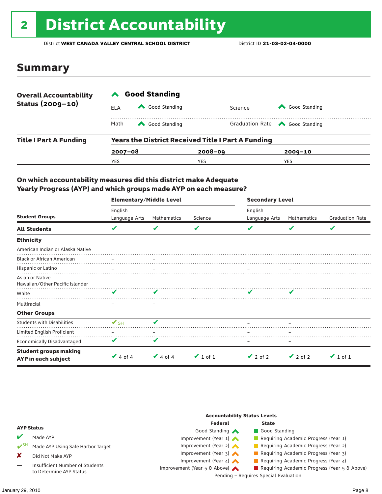# 2 District Accountability

District **WEST CANADA VALLEY CENTRAL SCHOOL DISTRICT** District ID **21-03-02-04-0000**

### Summary

| <b>Overall Accountability</b> | <b>Good Standing</b> |               |                                                           |                                       |  |  |  |
|-------------------------------|----------------------|---------------|-----------------------------------------------------------|---------------------------------------|--|--|--|
| Status (2009-10)              | ELA                  | Good Standing | Science                                                   | Good Standing                         |  |  |  |
|                               | Math                 | Good Standing |                                                           | Graduation Rate <a> Good Standing</a> |  |  |  |
| <b>Title I Part A Funding</b> |                      |               | <b>Years the District Received Title I Part A Funding</b> |                                       |  |  |  |
|                               | $2007 - 08$          |               | $2008 - 09$                                               | $2009 - 10$                           |  |  |  |
|                               | YES                  |               | YES                                                       | YES                                   |  |  |  |

#### On which accountability measures did this district make Adequate Yearly Progress (AYP) and which groups made AYP on each measure?

|                                                     | <b>Elementary/Middle Level</b> |               |               | <b>Secondary Level</b> |               |                        |  |
|-----------------------------------------------------|--------------------------------|---------------|---------------|------------------------|---------------|------------------------|--|
|                                                     | English                        |               |               | English                |               |                        |  |
| <b>Student Groups</b>                               | Language Arts                  | Mathematics   | Science       | Language Arts          | Mathematics   | <b>Graduation Rate</b> |  |
| <b>All Students</b>                                 | V                              | V             | V             |                        | V             | V                      |  |
| <b>Ethnicity</b>                                    |                                |               |               |                        |               |                        |  |
| American Indian or Alaska Native                    |                                |               |               |                        |               |                        |  |
| <b>Black or African American</b>                    |                                |               |               |                        |               |                        |  |
| Hispanic or Latino                                  |                                |               |               |                        |               |                        |  |
| Asian or Native<br>Hawaiian/Other Pacific Islander  |                                |               |               |                        |               |                        |  |
| White                                               | v                              |               |               |                        |               |                        |  |
| Multiracial                                         |                                |               |               |                        |               |                        |  |
| <b>Other Groups</b>                                 |                                |               |               |                        |               |                        |  |
| <b>Students with Disabilities</b>                   | $\mathbf{V}_{\text{SH}}$       | V             |               |                        |               |                        |  |
| Limited English Proficient                          |                                |               |               |                        |               |                        |  |
| Economically Disadvantaged                          | V                              | V             |               |                        |               |                        |  |
| <b>Student groups making</b><br>AYP in each subject | $\vee$ 4 of 4                  | $\vee$ 4 of 4 | $\vee$ 1 of 1 | $\vee$ 2 of 2          | $\vee$ 2 of 2 | $\vee$ 1 of 1          |  |

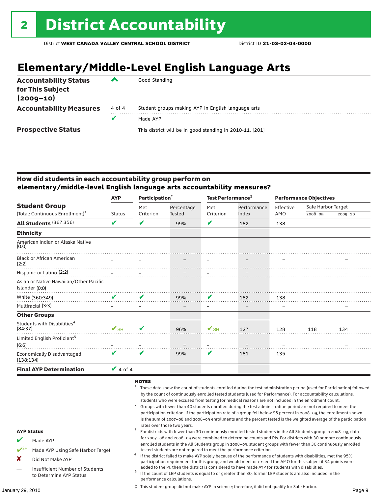# **Elementary/Middle-Level English Language Arts**

| <b>Accountability Status</b><br>for This Subject<br>$(2009 - 10)$ | ▰      | Good Standing                                            |
|-------------------------------------------------------------------|--------|----------------------------------------------------------|
| <b>Accountability Measures</b>                                    | 4 of 4 | Student groups making AYP in English language arts       |
|                                                                   | v      | Made AYP                                                 |
| <b>Prospective Status</b>                                         |        | This district will be in good standing in 2010-11. [201] |

#### How did students in each accountability group perform on **elementary/middle-level English language arts accountability measures?**

|                                                    | <b>AYP</b>               | Participation $2$ |        | Test Performance <sup>3</sup> |       | <b>Performance Objectives</b> |             |                    |  |
|----------------------------------------------------|--------------------------|-------------------|--------|-------------------------------|-------|-------------------------------|-------------|--------------------|--|
| <b>Student Group</b>                               |                          |                   | Met    | Percentage                    | Met   | Performance                   | Effective   | Safe Harbor Target |  |
| (Total: Continuous Enrollment) <sup>1</sup>        | <b>Status</b>            | Criterion         | Tested | Criterion                     | Index | AMO                           | $2008 - 09$ | 2009-10            |  |
| All Students (367:356)                             | V                        | V                 | 99%    | V                             | 182   | 138                           |             |                    |  |
| <b>Ethnicity</b>                                   |                          |                   |        |                               |       |                               |             |                    |  |
| American Indian or Alaska Native<br>(0:0)          |                          |                   |        |                               |       |                               |             |                    |  |
| <b>Black or African American</b><br>(2:2)          |                          |                   |        |                               |       |                               |             |                    |  |
| Hispanic or Latino (2:2)                           |                          |                   |        |                               |       |                               |             |                    |  |
| Asian or Native Hawaiian/Other Pacific             |                          |                   |        |                               |       |                               |             |                    |  |
| Islander (0:0)                                     |                          |                   |        |                               |       |                               |             |                    |  |
| White (360:349)                                    | $\boldsymbol{\nu}$       | $\mathbf{v}$      | 99%    | V                             | 182   | 138                           |             |                    |  |
| Multiracial (3:3)                                  |                          |                   |        | -                             | -     |                               |             |                    |  |
| <b>Other Groups</b>                                |                          |                   |        |                               |       |                               |             |                    |  |
| Students with Disabilities <sup>4</sup><br>(84:37) | $\mathbf{V}_{\text{SH}}$ | V                 | 96%    | $\mathbf{V}_{\text{SH}}$      | 127   | 128                           | 118         | 134                |  |
| Limited English Proficient <sup>5</sup><br>(6:6)   |                          |                   |        |                               |       |                               |             |                    |  |
| <b>Economically Disadvantaged</b><br>(138:134)     | V                        | V                 | 99%    | V                             | 181   | 135                           |             |                    |  |
| <b>Final AYP Determination</b>                     | $\vee$ 4 of 4            |                   |        |                               |       |                               |             |                    |  |

#### NOTES

- <sup>1</sup> These data show the count of students enrolled during the test administration period (used for Participation) followed by the count of continuously enrolled tested students (used for Performance). For accountability calculations,
- students who were excused from testing for medical reasons are not included in the enrollment count.<br>Groups with fewer than 40 students enrolled during the test administration period are not required to meet the participation criterion. If the participation rate of a group fell below 95 percent in 2008–09, the enrollment shown is the sum of 2007–08 and 2008–09 enrollments and the percent tested is the weighted average of the participation
- rates over those two years.<br><sup>3</sup> For districts with fewer than 30 continuously enrolled tested students in the All Students group in 2008–09, data for 2007–08 and 2008–09 were combined to determine counts and PIs. For districts with 30 or more continuously enrolled students in the All Students group in 2008–09, student groups with fewer than 30 continuously enrolled
- tested students are not required to meet the performance criterion. <sup>4</sup> If the district failed to make AYP solely because of the performance of students with disabilities, met the 95% participation requirement for this group, and would meet or exceed the AMO for this subject if 34 points were
- added to the PI, then the district is considered to have made AYP for students with disabilities.<br><sup>5</sup> If the count of LEP students is equal to or greater than 30, former LEP students are also included in the performance calculations.

‡ This student group did not make AYP in science; therefore, it did not qualify for Safe Harbor.

#### AYP Status

- Made AYP
- Made AYP Using Safe Harbor Target
- X Did Not Make AYP
- Insufficient Number of Students to Determine AYP Status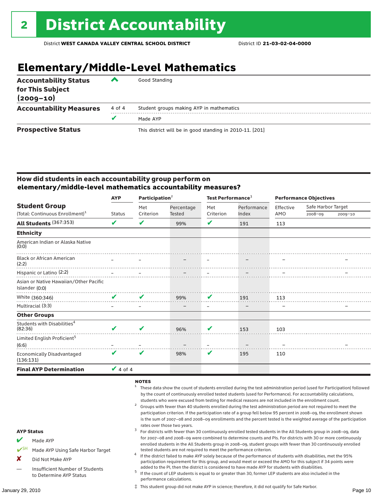# **Elementary/Middle-Level Mathematics**

| <b>Accountability Status</b><br>for This Subject<br>$(2009 - 10)$ | ‴      | Good Standing                                            |
|-------------------------------------------------------------------|--------|----------------------------------------------------------|
| <b>Accountability Measures</b>                                    | 4 of 4 | Student groups making AYP in mathematics                 |
|                                                                   |        | Made AYP                                                 |
| <b>Prospective Status</b>                                         |        | This district will be in good standing in 2010-11. [201] |

#### How did students in each accountability group perform on **elementary/middle-level mathematics accountability measures?**

|                                                    | <b>AYP</b>    | Participation $2$ |            | Test Performance <sup>3</sup> |             | <b>Performance Objectives</b> |                    |             |
|----------------------------------------------------|---------------|-------------------|------------|-------------------------------|-------------|-------------------------------|--------------------|-------------|
| <b>Student Group</b>                               |               | Met               | Percentage | Met                           | Performance | Effective                     | Safe Harbor Target |             |
| (Total: Continuous Enrollment) <sup>1</sup>        | <b>Status</b> | Criterion         | Tested     | Criterion                     | Index       | AMO                           | $2008 - 09$        | $2009 - 10$ |
| All Students (367:353)                             | V             | V                 | 99%        | V                             | 191         | 113                           |                    |             |
| <b>Ethnicity</b>                                   |               |                   |            |                               |             |                               |                    |             |
| American Indian or Alaska Native<br>(0:0)          |               |                   |            |                               |             |                               |                    |             |
| <b>Black or African American</b><br>(2:2)          |               |                   |            |                               |             |                               |                    |             |
| Hispanic or Latino (2:2)                           |               |                   |            |                               |             |                               |                    |             |
| Asian or Native Hawaiian/Other Pacific             |               |                   |            |                               |             |                               |                    |             |
| Islander (0:0)                                     |               |                   |            |                               |             |                               |                    |             |
| White (360:346)                                    | V             | v                 | 99%        | V                             | 191         | 113                           |                    |             |
| Multiracial (3:3)                                  |               |                   |            |                               |             |                               |                    |             |
| <b>Other Groups</b>                                |               |                   |            |                               |             |                               |                    |             |
| Students with Disabilities <sup>4</sup><br>(82:36) |               | V                 | 96%        | V                             | 153         | 103                           |                    |             |
| Limited English Proficient <sup>5</sup><br>(6:6)   |               |                   |            |                               |             |                               |                    |             |
| <b>Economically Disadvantaged</b><br>(136:131)     | V             | V                 | 98%        | V                             | 195         | 110                           |                    |             |
| <b>Final AYP Determination</b>                     | $\vee$ 4 of 4 |                   |            |                               |             |                               |                    |             |

#### NOTES

- <sup>1</sup> These data show the count of students enrolled during the test administration period (used for Participation) followed by the count of continuously enrolled tested students (used for Performance). For accountability calculations,
- students who were excused from testing for medical reasons are not included in the enrollment count.<br><sup>2</sup> Groups with fewer than 40 students enrolled during the test administration period are not required to meet the participation criterion. If the participation rate of a group fell below 95 percent in 2008–09, the enrollment shown is the sum of 2007–08 and 2008–09 enrollments and the percent tested is the weighted average of the participation
- rates over those two years.<br><sup>3</sup> For districts with fewer than 30 continuously enrolled tested students in the All Students group in 2008–09, data for 2007–08 and 2008–09 were combined to determine counts and PIs. For districts with 30 or more continuously enrolled students in the All Students group in 2008–09, student groups with fewer than 30 continuously enrolled
- tested students are not required to meet the performance criterion. <sup>4</sup> If the district failed to make AYP solely because of the performance of students with disabilities, met the 95% participation requirement for this group, and would meet or exceed the AMO for this subject if 34 points were
- added to the PI, then the district is considered to have made AYP for students with disabilities.<br> $^5$  If the count of LEP students is equal to or greater than 30, former LEP students are also included in the performance calculations.

‡ This student group did not make AYP in science; therefore, it did not qualify for Safe Harbor.

#### AYP Status

- Made AYP
- Made AYP Using Safe Harbor Target
- X Did Not Make AYP
- Insufficient Number of Students to Determine AYP Status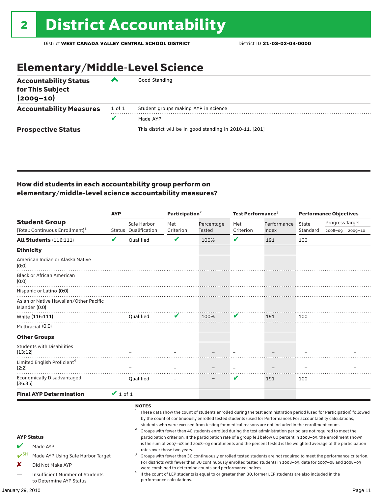# Elementary/Middle-Level Science

| <b>Accountability Status</b><br>for This Subject<br>$(2009 - 10)$ | ▞      | Good Standing                                            |
|-------------------------------------------------------------------|--------|----------------------------------------------------------|
| <b>Accountability Measures</b>                                    | 1 of 1 | Student groups making AYP in science                     |
|                                                                   | v      | Made AYP                                                 |
| <b>Prospective Status</b>                                         |        | This district will be in good standing in 2010-11. [201] |

#### How did students in each accountability group perform on elementary/middle-level science accountability measures?

| V                                 | Safe Harbor<br>Status Oualification<br>Qualified<br><b>Oualified</b> | Met<br>Criterion<br>✔ | Percentage<br>Tested<br>100%<br>the contract of the contract of the contract of the contract of the contract of the contract of the contract of | Met<br>Criterion<br>V                                    | Performance<br>Index<br>191 | State<br>Standard<br>100                                   | Progress Target<br>2008-09 2009-10                                                                                                                                                                                                                                                                                                                                                                                                                                                                                                                                                                                                                                                                                                                                                                                                                                                                                                                                                                                                                                                  |
|-----------------------------------|----------------------------------------------------------------------|-----------------------|-------------------------------------------------------------------------------------------------------------------------------------------------|----------------------------------------------------------|-----------------------------|------------------------------------------------------------|-------------------------------------------------------------------------------------------------------------------------------------------------------------------------------------------------------------------------------------------------------------------------------------------------------------------------------------------------------------------------------------------------------------------------------------------------------------------------------------------------------------------------------------------------------------------------------------------------------------------------------------------------------------------------------------------------------------------------------------------------------------------------------------------------------------------------------------------------------------------------------------------------------------------------------------------------------------------------------------------------------------------------------------------------------------------------------------|
|                                   |                                                                      |                       |                                                                                                                                                 |                                                          |                             |                                                            |                                                                                                                                                                                                                                                                                                                                                                                                                                                                                                                                                                                                                                                                                                                                                                                                                                                                                                                                                                                                                                                                                     |
|                                   |                                                                      |                       |                                                                                                                                                 |                                                          |                             |                                                            |                                                                                                                                                                                                                                                                                                                                                                                                                                                                                                                                                                                                                                                                                                                                                                                                                                                                                                                                                                                                                                                                                     |
|                                   |                                                                      |                       |                                                                                                                                                 |                                                          |                             |                                                            |                                                                                                                                                                                                                                                                                                                                                                                                                                                                                                                                                                                                                                                                                                                                                                                                                                                                                                                                                                                                                                                                                     |
|                                   |                                                                      |                       |                                                                                                                                                 |                                                          |                             |                                                            |                                                                                                                                                                                                                                                                                                                                                                                                                                                                                                                                                                                                                                                                                                                                                                                                                                                                                                                                                                                                                                                                                     |
|                                   |                                                                      |                       |                                                                                                                                                 |                                                          |                             |                                                            |                                                                                                                                                                                                                                                                                                                                                                                                                                                                                                                                                                                                                                                                                                                                                                                                                                                                                                                                                                                                                                                                                     |
|                                   |                                                                      |                       |                                                                                                                                                 |                                                          |                             |                                                            |                                                                                                                                                                                                                                                                                                                                                                                                                                                                                                                                                                                                                                                                                                                                                                                                                                                                                                                                                                                                                                                                                     |
|                                   |                                                                      |                       |                                                                                                                                                 |                                                          |                             |                                                            |                                                                                                                                                                                                                                                                                                                                                                                                                                                                                                                                                                                                                                                                                                                                                                                                                                                                                                                                                                                                                                                                                     |
|                                   |                                                                      | V                     | 100%                                                                                                                                            | V                                                        | 191                         | 100                                                        |                                                                                                                                                                                                                                                                                                                                                                                                                                                                                                                                                                                                                                                                                                                                                                                                                                                                                                                                                                                                                                                                                     |
|                                   |                                                                      |                       |                                                                                                                                                 |                                                          |                             |                                                            |                                                                                                                                                                                                                                                                                                                                                                                                                                                                                                                                                                                                                                                                                                                                                                                                                                                                                                                                                                                                                                                                                     |
|                                   |                                                                      |                       |                                                                                                                                                 |                                                          |                             |                                                            |                                                                                                                                                                                                                                                                                                                                                                                                                                                                                                                                                                                                                                                                                                                                                                                                                                                                                                                                                                                                                                                                                     |
|                                   |                                                                      |                       |                                                                                                                                                 |                                                          |                             |                                                            |                                                                                                                                                                                                                                                                                                                                                                                                                                                                                                                                                                                                                                                                                                                                                                                                                                                                                                                                                                                                                                                                                     |
|                                   |                                                                      |                       |                                                                                                                                                 |                                                          |                             |                                                            |                                                                                                                                                                                                                                                                                                                                                                                                                                                                                                                                                                                                                                                                                                                                                                                                                                                                                                                                                                                                                                                                                     |
|                                   | <b>Oualified</b>                                                     |                       |                                                                                                                                                 | v                                                        | 191                         | 100                                                        |                                                                                                                                                                                                                                                                                                                                                                                                                                                                                                                                                                                                                                                                                                                                                                                                                                                                                                                                                                                                                                                                                     |
|                                   |                                                                      |                       |                                                                                                                                                 |                                                          |                             |                                                            |                                                                                                                                                                                                                                                                                                                                                                                                                                                                                                                                                                                                                                                                                                                                                                                                                                                                                                                                                                                                                                                                                     |
|                                   | <b>NOTES</b><br>$\overline{a}$<br>3                                  |                       |                                                                                                                                                 |                                                          |                             |                                                            |                                                                                                                                                                                                                                                                                                                                                                                                                                                                                                                                                                                                                                                                                                                                                                                                                                                                                                                                                                                                                                                                                     |
|                                   |                                                                      |                       |                                                                                                                                                 |                                                          |                             |                                                            |                                                                                                                                                                                                                                                                                                                                                                                                                                                                                                                                                                                                                                                                                                                                                                                                                                                                                                                                                                                                                                                                                     |
|                                   | 4                                                                    |                       |                                                                                                                                                 |                                                          |                             |                                                            |                                                                                                                                                                                                                                                                                                                                                                                                                                                                                                                                                                                                                                                                                                                                                                                                                                                                                                                                                                                                                                                                                     |
| Made AYP Using Safe Harbor Target |                                                                      | $\vee$ 1 of 1         |                                                                                                                                                 | rates over those two years.<br>performance calculations. |                             | were combined to determine counts and performance indices. | <sup>1</sup> These data show the count of students enrolled during the test administration period (used for Participation) followed<br>by the count of continuously enrolled tested students (used for Performance). For accountability calculations,<br>students who were excused from testing for medical reasons are not included in the enrollment count.<br>Groups with fewer than 40 students enrolled during the test administration period are not required to meet the<br>participation criterion. If the participation rate of a group fell below 80 percent in 2008–09, the enrollment shown<br>is the sum of 2007-08 and 2008-09 enrollments and the percent tested is the weighted average of the participation<br>Groups with fewer than 30 continuously enrolled tested students are not required to meet the performance criterion.<br>For districts with fewer than 30 continuously enrolled tested students in 2008-09, data for 2007-08 and 2008-09<br>If the count of LEP students is equal to or greater than 30, former LEP students are also included in the |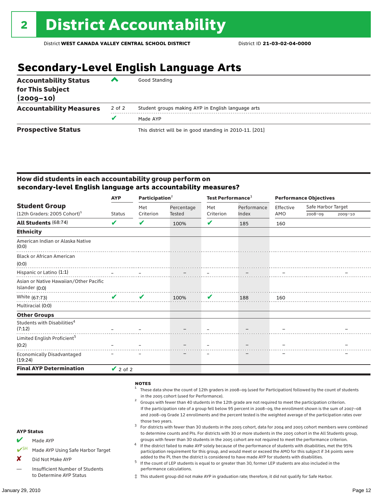## **Secondary-Level English Language Arts**

| <b>Accountability Status</b><br>for This Subject<br>$(2009 - 10)$ | ▰      | Good Standing                                            |
|-------------------------------------------------------------------|--------|----------------------------------------------------------|
| <b>Accountability Measures</b>                                    | 2 of 2 | Student groups making AYP in English language arts       |
|                                                                   | v      | Made AYP                                                 |
| <b>Prospective Status</b>                                         |        | This district will be in good standing in 2010-11. [201] |

#### How did students in each accountability group perform on **secondary-level English language arts accountability measures?**

| <b>Student Group</b>                                     | <b>AYP</b>    | Participation <sup>2</sup> |            | Test Performance <sup>3</sup> |                      | <b>Performance Objectives</b> |                    |             |
|----------------------------------------------------------|---------------|----------------------------|------------|-------------------------------|----------------------|-------------------------------|--------------------|-------------|
|                                                          |               | Met                        | Percentage | Met                           | Performance<br>Index | Effective                     | Safe Harbor Target |             |
| $(12th$ Graders: 2005 Cohort) <sup>1</sup>               | <b>Status</b> | Criterion                  | Tested     | Criterion                     |                      | AMO                           | 2008-09            | $2009 - 10$ |
| All Students (68:74)                                     | V             | ✔                          | 100%       | ✔                             | 185                  | 160                           |                    |             |
| <b>Ethnicity</b>                                         |               |                            |            |                               |                      |                               |                    |             |
| American Indian or Alaska Native<br>(0:0)                |               |                            |            |                               |                      |                               |                    |             |
| <b>Black or African American</b>                         |               |                            |            |                               |                      |                               |                    |             |
| (0:0)                                                    |               |                            |            |                               |                      |                               |                    |             |
| Hispanic or Latino (1:1)                                 |               |                            |            |                               |                      |                               |                    |             |
| Asian or Native Hawaiian/Other Pacific<br>Islander (0:0) |               |                            |            |                               |                      |                               |                    |             |
| White (67:73)                                            | $\mathbf{v}$  | $\boldsymbol{\mathcal{U}}$ | $100\%$    |                               | 188                  |                               |                    | 160         |
| Multiracial (0:0)                                        |               |                            |            |                               |                      |                               |                    |             |
| <b>Other Groups</b>                                      |               |                            |            |                               |                      |                               |                    |             |
| Students with Disabilities <sup>4</sup><br>(7:12)        |               |                            |            |                               |                      |                               |                    |             |
| Limited English Proficient <sup>5</sup>                  |               |                            |            |                               |                      |                               |                    |             |
| (0:2)                                                    |               |                            |            |                               |                      |                               |                    |             |
| <b>Economically Disadvantaged</b><br>(19:24)             |               |                            |            |                               |                      |                               |                    |             |
| <b>Final AYP Determination</b>                           | $\vee$ 2 of 2 |                            |            |                               |                      |                               |                    |             |

#### **NOTES**

AYP Status Made AYP Made AYP Using Safe Harbor Target X Did Not Make AYP — Insufficient Number of Students to Determine AYP Status <sup>1</sup> These data show the count of 12th graders in 2008–09 (used for Participation) followed by the count of students in the 2005 cohort (used for Performance).<br>Groups with fewer than 40 students in the 12th grade are not required to meet the participation criterion. If the participation rate of a group fell below 95 percent in 2008–09, the enrollment shown is the sum of 2007–08 and 2008–09 Grade 12 enrollments and the percent tested is the weighted average of the participation rates over those two years.<br><sup>3</sup> For districts with fewer than 30 students in the 2005 cohort, data for 2004 and 2005 cohort members were combined to determine counts and PIs. For districts with 30 or more students in the 2005 cohort in the All Students group, groups with fewer than 30 students in the 2005 cohort are not required to meet the performance criterion.<br>If the district failed to make AYP solely because of the performance of students with disabilities, met the 95% participation requirement for this group, and would meet or exceed the AMO for this subject if 34 points were added to the PI, then the district is considered to have made AYP for students with disabilities.<br> $^5$  If the count of LEP students is equal to or greater than 30, former LEP students are also included in the performance calculations. ‡ This student group did not make AYP in graduation rate; therefore, it did not qualify for Safe Harbor.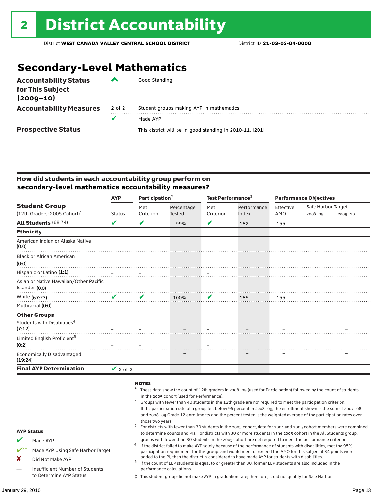## **Secondary-Level Mathematics**

| <b>Accountability Status</b><br>for This Subject<br>$(2009 - 10)$ | ▰      | Good Standing                                            |
|-------------------------------------------------------------------|--------|----------------------------------------------------------|
| <b>Accountability Measures</b>                                    | 2 of 2 | Student groups making AYP in mathematics                 |
|                                                                   |        | Made AYP                                                 |
| <b>Prospective Status</b>                                         |        | This district will be in good standing in 2010-11. [201] |

#### How did students in each accountability group perform on **secondary-level mathematics accountability measures?**

|                                                          | <b>AYP</b>    | Participation <sup>2</sup> |            | Test Performance <sup>3</sup> |             | <b>Performance Objectives</b> |                    |             |
|----------------------------------------------------------|---------------|----------------------------|------------|-------------------------------|-------------|-------------------------------|--------------------|-------------|
| <b>Student Group</b>                                     |               | Met                        | Percentage | Met<br>Criterion              | Performance | Effective<br>AMO              | Safe Harbor Target |             |
| $(12th$ Graders: 2005 Cohort) <sup>1</sup>               | <b>Status</b> | Criterion                  | Tested     |                               | Index       |                               | 2008-09            | $2009 - 10$ |
| All Students (68:74)                                     | V             | V                          | 99%        | V                             | 182         | 155                           |                    |             |
| <b>Ethnicity</b>                                         |               |                            |            |                               |             |                               |                    |             |
| American Indian or Alaska Native<br>(0:0)                |               |                            |            |                               |             |                               |                    |             |
| <b>Black or African American</b>                         |               |                            |            |                               |             |                               |                    |             |
| (0:0)                                                    |               |                            |            |                               |             |                               |                    |             |
| Hispanic or Latino (1:1)                                 |               |                            |            |                               |             |                               |                    |             |
| Asian or Native Hawaiian/Other Pacific<br>Islander (0:0) |               |                            |            |                               |             |                               |                    |             |
| White (67:73)                                            | $\mathbf{v}$  | $\mathbf{v}$               | 100%       | $\mathbf v$                   | 185         | 155                           |                    |             |
| Multiracial (0:0)                                        |               |                            |            |                               |             |                               |                    |             |
| <b>Other Groups</b>                                      |               |                            |            |                               |             |                               |                    |             |
| Students with Disabilities <sup>4</sup><br>(7:12)        |               |                            |            |                               |             |                               |                    |             |
| Limited English Proficient <sup>5</sup>                  |               |                            |            |                               |             |                               |                    |             |
| (0:2)                                                    |               |                            |            |                               |             |                               |                    |             |
| <b>Economically Disadvantaged</b><br>(19:24)             |               |                            |            |                               |             |                               |                    |             |
| <b>Final AYP Determination</b>                           | $\vee$ 2 of 2 |                            |            |                               |             |                               |                    |             |

#### **NOTES**

- <sup>1</sup> These data show the count of 12th graders in 2008–09 (used for Participation) followed by the count of students in the 2005 cohort (used for Performance).<br>Groups with fewer than 40 students in the 12th grade are not required to meet the participation criterion. If the participation rate of a group fell below 95 percent in 2008–09, the enrollment shown is the sum of 2007–08 and 2008–09 Grade 12 enrollments and the percent tested is the weighted average of the participation rates over
	- those two years.<br><sup>3</sup> For districts with fewer than 30 students in the 2005 cohort, data for 2004 and 2005 cohort members were combined to determine counts and PIs. For districts with 30 or more students in the 2005 cohort in the All Students group,
	- groups with fewer than 30 students in the 2005 cohort are not required to meet the performance criterion.<br>If the district failed to make AYP solely because of the performance of students with disabilities, met the 95%
		- participation requirement for this group, and would meet or exceed the AMO for this subject if 34 points were
		- added to the PI, then the district is considered to have made AYP for students with disabilities.<br> $^5$  If the count of LEP students is equal to or greater than 30, former LEP students are also included in the performance calculations.
		- ‡ This student group did not make AYP in graduation rate; therefore, it did not qualify for Safe Harbor.

AYP Status  $M$  Made AYP

X Did Not Make AYP

Made AYP Using Safe Harbor Target

— Insufficient Number of Students to Determine AYP Status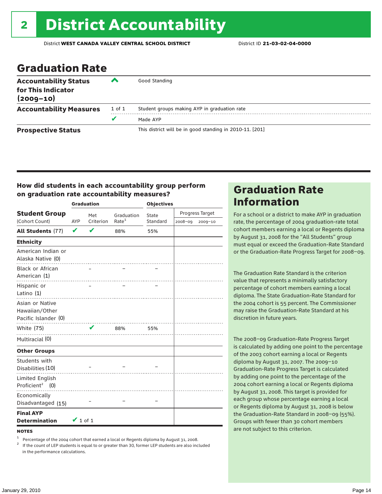### Graduation Rate

| <b>Accountability Status</b><br>for This Indicator<br>$(2009 - 10)$ | ▰      | Good Standing                                            |
|---------------------------------------------------------------------|--------|----------------------------------------------------------|
| <b>Accountability Measures</b>                                      | 1 of 1 | Student groups making AYP in graduation rate             |
|                                                                     | u      | Made AYP                                                 |
| <b>Prospective Status</b>                                           |        | This district will be in good standing in 2010-11. [201] |

#### How did students in each accountability group perform on graduation rate accountability measures?

|                                                           |               | <b>Graduation</b> |                   | <b>Objectives</b> |         |                 |  |
|-----------------------------------------------------------|---------------|-------------------|-------------------|-------------------|---------|-----------------|--|
| <b>Student Group</b>                                      | Met           |                   | Graduation        | State             |         | Progress Target |  |
| (Cohort Count)                                            | AYP           | Criterion         | Rate <sup>1</sup> | Standard          | 2008-09 | 2009-10         |  |
| All Students (77)                                         | V             | $\mathbf{v}$      | 88%               | 55%               |         |                 |  |
| <b>Ethnicity</b>                                          |               |                   |                   |                   |         |                 |  |
| American Indian or<br>Alaska Native (0)                   |               |                   | . <b>.</b>        |                   |         |                 |  |
| <b>Black or African</b><br>American (1)                   |               |                   |                   |                   |         |                 |  |
| Hispanic or<br>Latino $(1)$                               |               |                   |                   |                   |         |                 |  |
| Asian or Native<br>Hawaiian/Other<br>Pacific Islander (0) |               |                   |                   |                   |         |                 |  |
| <b>White (75)</b>                                         |               | V                 | 88%               | 55%               |         |                 |  |
| Multiracial (0)                                           |               |                   |                   |                   |         |                 |  |
| <b>Other Groups</b>                                       |               |                   |                   |                   |         |                 |  |
| Students with<br>Disabilities (10)                        |               |                   |                   |                   |         |                 |  |
| Limited English<br>Proficient <sup>2</sup> (0)            |               |                   |                   |                   |         |                 |  |
| Economically<br>Disadvantaged (15)                        |               |                   |                   |                   |         |                 |  |
| <b>Final AYP</b><br><b>Determination</b>                  | $\vee$ 1 of 1 |                   |                   |                   |         |                 |  |

#### **NOTES**

<sup>1</sup> Percentage of the 2004 cohort that earned a local or Regents diploma by August 31, 2008.<br><sup>2</sup> If the count of LEP students is equal to or greater than 30, former LEP students are also included in the performance calculations.

### Graduation Rate Information

For a school or a district to make AYP in graduation rate, the percentage of 2004 graduation-rate total cohort members earning a local or Regents diploma by August 31, 2008 for the "All Students" group must equal or exceed the Graduation-Rate Standard or the Graduation-Rate Progress Target for 2008–09.

The Graduation Rate Standard is the criterion value that represents a minimally satisfactory percentage of cohort members earning a local diploma. The State Graduation-Rate Standard for the 2004 cohort is 55 percent. The Commissioner may raise the Graduation-Rate Standard at his discretion in future years.

The 2008–09 Graduation-Rate Progress Target is calculated by adding one point to the percentage of the 2003 cohort earning a local or Regents diploma by August 31, 2007. The 2009–10 Graduation-Rate Progress Target is calculated by adding one point to the percentage of the 2004 cohort earning a local or Regents diploma by August 31, 2008. This target is provided for each group whose percentage earning a local or Regents diploma by August 31, 2008 is below the Graduation-Rate Standard in 2008–09 (55%). Groups with fewer than 30 cohort members are not subject to this criterion.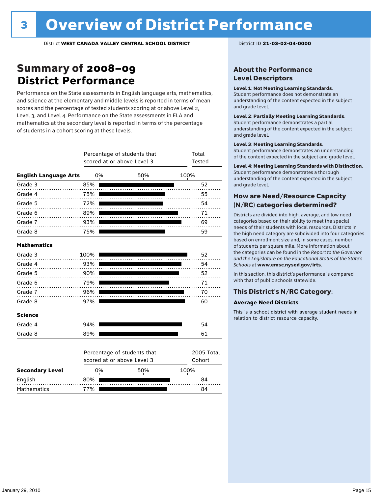### Summary of 2008–09 **District Performance**

Performance on the State assessments in English language arts, mathematics, and science at the elementary and middle levels is reported in terms of mean scores and the percentage of tested students scoring at or above Level 2, Level 3, and Level 4. Performance on the State assessments in ELA and mathematics at the secondary level is reported in terms of the percentage of students in a cohort scoring at these levels.

|                              |      | Percentage of students that<br>scored at or above Level 3 | Total<br>Tested      |      |  |  |
|------------------------------|------|-----------------------------------------------------------|----------------------|------|--|--|
| <b>English Language Arts</b> | 0%   |                                                           | 50%                  | 100% |  |  |
| Grade 3                      | 85%  |                                                           |                      | 52   |  |  |
| Grade 4                      | 75%  |                                                           |                      | 55   |  |  |
| Grade 5                      | 72%  |                                                           |                      | 54   |  |  |
| Grade 6                      | 89%  |                                                           |                      | 71   |  |  |
| Grade 7                      | 93%  |                                                           |                      | 69   |  |  |
| Grade 8                      | 75%  |                                                           |                      | 59   |  |  |
| <b>Mathematics</b>           |      |                                                           |                      |      |  |  |
| Grade 3                      | 100% |                                                           |                      | 52   |  |  |
| Grade 4                      | 93%  |                                                           |                      | 54   |  |  |
| Grade 5                      | 90%  |                                                           |                      | 52   |  |  |
| Grade 6                      | 79%  |                                                           |                      | 71   |  |  |
| Grade 7                      | 96%  |                                                           |                      | 70   |  |  |
| Grade 8                      | 97%  |                                                           |                      | 60   |  |  |
| <b>Science</b>               |      |                                                           |                      |      |  |  |
| Grade 4                      | 94%  |                                                           |                      | 54   |  |  |
| Grade 8                      | 89%  |                                                           |                      | 61   |  |  |
|                              |      | Percentage of students that<br>scored at or above Level 3 | 2005 Total<br>Cohort |      |  |  |
| <b>Secondary Level</b>       | 0%   |                                                           | 50%                  | 100% |  |  |
| English                      | 80%  |                                                           |                      | 84   |  |  |

Mathematics 77% 77% 84

#### About the Performance Level Descriptors

#### Level 1: Not Meeting Learning Standards.

Student performance does not demonstrate an understanding of the content expected in the subject and grade level.

#### Level 2: Partially Meeting Learning Standards.

Student performance demonstrates a partial understanding of the content expected in the subject and grade level.

#### Level 3: Meeting Learning Standards.

Student performance demonstrates an understanding of the content expected in the subject and grade level.

#### Level 4: Meeting Learning Standards with Distinction.

Student performance demonstrates a thorough understanding of the content expected in the subject and grade level.

#### How are Need/Resource Capacity (N/RC) categories determined?

Districts are divided into high, average, and low need categories based on their ability to meet the special needs of their students with local resources. Districts in the high need category are subdivided into four categories based on enrollment size and, in some cases, number of students per square mile. More information about the categories can be found in the *Report to the Governor and the Legislature on the Educational Status of the State's Schools* at www.emsc.nysed.gov/irts.

In this section, this district's performance is compared with that of public schools statewide.

#### This District's N/RC Category:

#### **Average Need Districts**

This is a school district with average student needs in relation to district resource capacity.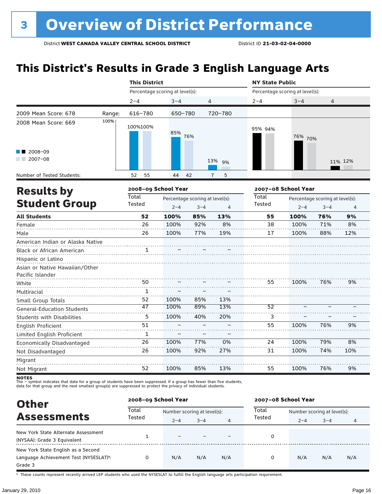### **This District's Results in Grade 3 English Language Arts**

|                                                                          |        | <b>This District</b>            |                     |                                                              |                     |                                 | <b>NY State Public</b> |                                                              |         |  |  |
|--------------------------------------------------------------------------|--------|---------------------------------|---------------------|--------------------------------------------------------------|---------------------|---------------------------------|------------------------|--------------------------------------------------------------|---------|--|--|
|                                                                          |        | Percentage scoring at level(s): |                     |                                                              |                     | Percentage scoring at level(s): |                        |                                                              |         |  |  |
|                                                                          |        | $2 - 4$                         | $3 - 4$             |                                                              | 4                   | 2-4                             | $3 - 4$                | 4                                                            |         |  |  |
| 2009 Mean Score: 678                                                     | Range: | 616-780                         |                     | 650-780                                                      | 720-780             |                                 |                        |                                                              |         |  |  |
| 2008 Mean Score: 669                                                     | 100%   | 100%100%                        | 85%                 | 76%                                                          |                     | 95% 94%                         | 76% 70%                |                                                              |         |  |  |
| 2008-09<br>$2007 - 08$                                                   |        |                                 |                     |                                                              | 13% 9%              |                                 |                        |                                                              | 11% 12% |  |  |
| Number of Tested Students:                                               |        | 55<br>52                        | 44                  | 42                                                           | $\overline{1}$<br>5 |                                 |                        |                                                              |         |  |  |
| <b>Results by</b>                                                        |        |                                 | 2008-09 School Year |                                                              |                     |                                 | 2007-08 School Year    |                                                              |         |  |  |
| <b>Student Group</b>                                                     |        | <b>Total</b><br>Tested          | $2 - 4$             | Percentage scoring at level(s):<br>$3 - 4$<br>$\overline{4}$ |                     | Total<br>Tested                 | $2 - 4$                | Percentage scoring at level(s):<br>$3 - 4$<br>$\overline{4}$ |         |  |  |
| <b>All Students</b>                                                      |        | 52                              | 100%                | 85%                                                          | 13%                 | 55                              | 100%                   | 76%                                                          | 9%      |  |  |
| Female                                                                   |        | 26                              | 100%                | 92%                                                          | 8%                  | 38                              | 100%                   | 71%                                                          | 8%      |  |  |
| Male                                                                     |        | 26                              | 100%                | 77%                                                          | 19%                 | 17                              | 100%                   | 88%                                                          | 12%     |  |  |
| American Indian or Alaska Native<br>Black or African American            |        | 1                               |                     |                                                              |                     |                                 |                        |                                                              |         |  |  |
| Hispanic or Latino<br>Asian or Native Hawaiian/Other<br>Pacific Islander |        |                                 |                     |                                                              |                     |                                 |                        |                                                              |         |  |  |
| White                                                                    |        | 50                              |                     |                                                              |                     | 55                              | 100%                   | 76%                                                          | 9%      |  |  |
| Multiracial                                                              |        | $\mathbf{1}$                    |                     |                                                              |                     |                                 |                        |                                                              |         |  |  |
| Small Group Totals                                                       |        | 52                              | 100%                | 85%                                                          | 13%                 |                                 |                        |                                                              |         |  |  |
| <b>General-Education Students</b>                                        |        | 47                              | 100%                | 89%                                                          | 13%                 | 52                              |                        |                                                              |         |  |  |
| <b>Students with Disabilities</b>                                        |        | 5                               | 100%                | 40%                                                          | 20%                 | 3                               |                        |                                                              |         |  |  |
| <b>English Proficient</b>                                                |        | 51                              |                     |                                                              |                     | 55                              | 100%                   | 76%                                                          | 9%      |  |  |
| Limited English Proficient                                               |        | $\mathbf{1}$                    |                     |                                                              |                     |                                 |                        |                                                              |         |  |  |
| Economically Disadvantaged                                               |        | 26                              | 100%                | 77%                                                          | 0%                  | 24                              | 100%                   | 79%                                                          | 8%      |  |  |
| Not Disadvantaged                                                        |        | 26                              | 100%                | 92%                                                          | 27%                 | 31                              | 100%                   | 74%                                                          | 10%     |  |  |
| Migrant                                                                  |        |                                 |                     |                                                              |                     |                                 |                        |                                                              |         |  |  |
| Not Migrant                                                              |        | 52                              | 100%                | 85%                                                          | 13%                 | 55                              | 100%                   | 76%                                                          | 9%      |  |  |

**NOTES**<br>The – symbol indicates that data for a group of students have been suppressed. If a group has fewer than five students,<br>data for that group and the next smallest group(s) are suppressed to protect the privacy of in

| <b>Other</b>                                                                                         | 2008-09 School Year |                             |         |     | 2007-08 School Year |                             |         |     |  |
|------------------------------------------------------------------------------------------------------|---------------------|-----------------------------|---------|-----|---------------------|-----------------------------|---------|-----|--|
| <b>Assessments</b>                                                                                   | Total<br>Tested     | Number scoring at level(s): |         |     | Total               | Number scoring at level(s): |         |     |  |
|                                                                                                      |                     | $2 - 4$                     | $3 - 4$ | 4   | Tested              | $2 - 4$                     | $3 - 4$ | 4   |  |
| New York State Alternate Assessment<br>(NYSAA): Grade 3 Equivalent                                   |                     | $\overline{\phantom{0}}$    |         |     | 0                   |                             |         |     |  |
| New York State English as a Second<br>Language Achievement Test (NYSESLAT) <sup>+</sup> :<br>Grade 3 |                     | N/A                         | N/A     | N/A | 0                   | N/A                         | N/A     | N/A |  |

† These counts represent recently arrived LEP students who used the NYSESLAT to fulfill the English language arts participation requirement.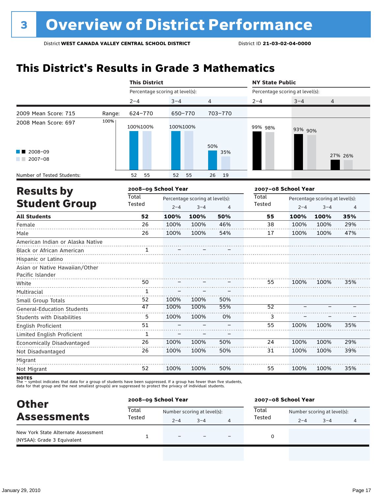### **This District's Results in Grade 3 Mathematics**

|                                                               |        | <b>This District</b><br><b>NY State Public</b> |          |                                 |                |                                 |         |                                 |         |
|---------------------------------------------------------------|--------|------------------------------------------------|----------|---------------------------------|----------------|---------------------------------|---------|---------------------------------|---------|
|                                                               |        | Percentage scoring at level(s):                |          |                                 |                | Percentage scoring at level(s): |         |                                 |         |
|                                                               |        | $2 - 4$                                        | $3 - 4$  |                                 | $\overline{4}$ | $2 - 4$                         | $3 - 4$ | 4                               |         |
| 2009 Mean Score: 715                                          | Range: | 624-770                                        | 650-770  |                                 | 703-770        |                                 |         |                                 |         |
| 2008 Mean Score: 697                                          | 100%   | 100%100%                                       | 100%100% |                                 | 50%            | 99% 98%                         | 93% 90% |                                 |         |
| 2008-09<br>$2007 - 08$                                        |        |                                                |          |                                 | 35%            |                                 |         |                                 | 27% 26% |
| Number of Tested Students:                                    |        | 52<br>55                                       | 52       | 55                              | 26<br>19       |                                 |         |                                 |         |
| <b>Results by</b>                                             |        | 2008-09 School Year                            |          |                                 |                | 2007-08 School Year             |         |                                 |         |
|                                                               |        | <b>Total</b>                                   |          | Percentage scoring at level(s): |                | <b>Total</b>                    |         | Percentage scoring at level(s): |         |
| <b>Student Group</b>                                          |        | Tested                                         | $2 - 4$  | $3 - 4$                         | $\overline{4}$ | Tested                          | $2 - 4$ | $3 - 4$                         | 4       |
| <b>All Students</b>                                           |        | 52                                             | 100%     | 100%                            | 50%            | 55                              | 100%    | 100%                            | 35%     |
| Female                                                        |        | 26                                             | 100%     | 100%                            | 46%            | 38                              | 100%    | 100%                            | 29%     |
| Male                                                          |        | 26                                             | 100%     | 100%                            | 54%            | 17                              | 100%    | 100%                            | 47%     |
| American Indian or Alaska Native<br>Black or African American |        | 1                                              |          |                                 |                |                                 |         |                                 |         |
| Hispanic or Latino                                            |        |                                                |          |                                 |                |                                 |         |                                 |         |
| Asian or Native Hawaiian/Other                                |        |                                                |          |                                 |                |                                 |         |                                 |         |
| Pacific Islander                                              |        |                                                |          |                                 |                |                                 |         |                                 |         |
| White                                                         |        | 50                                             |          |                                 |                | 55                              | 100%    | 100%                            | 35%     |
| Multiracial                                                   |        | 1                                              |          |                                 |                |                                 |         |                                 |         |
| Small Group Totals                                            |        | 52                                             | 100%     | 100%                            | 50%            |                                 |         |                                 |         |
| <b>General-Education Students</b>                             |        | 47                                             | 100%     | 100%                            | 55%            | $\overline{52}$                 |         |                                 |         |
| <b>Students with Disabilities</b>                             |        | 5                                              | 100%     | 100%                            | 0%             | 3                               |         |                                 |         |
| English Proficient                                            |        | 51                                             |          |                                 |                | 55                              | 100%    | 100%                            | 35%     |
| Limited English Proficient                                    |        | $\mathbf{1}$                                   |          |                                 |                |                                 |         |                                 |         |
| Economically Disadvantaged                                    |        | 26                                             | 100%     | 100%                            | 50%            | 24                              | 100%    | 100%                            | 29%     |
| Not Disadvantaged                                             |        | 26                                             | 100%     | 100%                            | 50%            | 31                              | 100%    | 100%                            | 39%     |
| Migrant                                                       |        |                                                |          |                                 |                |                                 |         |                                 |         |
| Not Migrant                                                   |        | 52                                             | 100%     | 100%                            | 50%            | 55                              | 100%    | 100%                            | 35%     |

| <b>Other</b>                                                       | 2008-09 School Year |                             |         |   | 2007-08 School Year |                             |         |   |  |
|--------------------------------------------------------------------|---------------------|-----------------------------|---------|---|---------------------|-----------------------------|---------|---|--|
| <b>Assessments</b>                                                 | Total               | Number scoring at level(s): |         |   | Total               | Number scoring at level(s): |         |   |  |
|                                                                    | Tested              | $2 - 4$                     | $3 - 4$ | 4 | Tested              | $2 - 4$                     | $3 - 4$ | 4 |  |
| New York State Alternate Assessment<br>(NYSAA): Grade 3 Equivalent |                     | $\equiv$                    |         |   |                     |                             |         |   |  |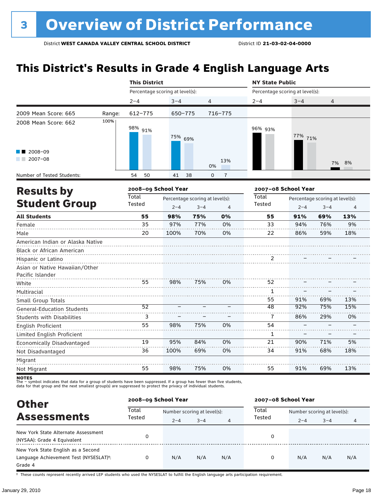### **This District's Results in Grade 4 English Language Arts**

|                                   |        | <b>This District</b>            |         |                                 |                     | <b>NY State Public</b>          |         |                                 |     |  |
|-----------------------------------|--------|---------------------------------|---------|---------------------------------|---------------------|---------------------------------|---------|---------------------------------|-----|--|
|                                   |        | Percentage scoring at level(s): |         |                                 |                     | Percentage scoring at level(s): |         |                                 |     |  |
|                                   |        | $2 - 4$                         | $3 - 4$ |                                 | $\overline{4}$      | $2 - 4$                         | $3 - 4$ | 4                               |     |  |
| 2009 Mean Score: 665              | Range: | 612-775                         | 650-775 |                                 | 716-775             |                                 |         |                                 |     |  |
| 2008 Mean Score: 662              | 100%   | 98% 91%                         | 75% 69% |                                 |                     | 96% 93%                         | 77% 71% |                                 |     |  |
| 2008-09<br>$\sqrt{2007-08}$       |        |                                 |         |                                 | 13%<br>0%           |                                 |         | 7%                              | 8%  |  |
| Number of Tested Students:        |        | 50<br>54                        | 41      | 38                              | $\overline{1}$<br>0 |                                 |         |                                 |     |  |
| <b>Results by</b>                 |        | 2008-09 School Year             |         |                                 |                     | 2007-08 School Year             |         |                                 |     |  |
|                                   |        | <b>Total</b>                    |         | Percentage scoring at level(s): |                     | Total                           |         | Percentage scoring at level(s): |     |  |
| <b>Student Group</b>              |        | Tested                          | $2 - 4$ | $3 - 4$                         | 4                   | Tested                          | $2 - 4$ | $3 - 4$                         | 4   |  |
| <b>All Students</b>               |        | 55                              | 98%     | 75%                             | 0%                  | 55                              | 91%     | 69%                             | 13% |  |
| Female                            |        | 35                              | 97%     | 77%                             | 0%                  | 33                              | 94%     | 76%                             | 9%  |  |
| Male                              |        | 20                              | 100%    | 70%                             | 0%                  | 22                              | 86%     | 59%                             | 18% |  |
| American Indian or Alaska Native  |        |                                 |         |                                 |                     |                                 |         |                                 |     |  |
| Black or African American         |        |                                 |         |                                 |                     |                                 |         |                                 |     |  |
| Hispanic or Latino                |        |                                 |         |                                 |                     | 2                               |         |                                 |     |  |
| Asian or Native Hawaiian/Other    |        |                                 |         |                                 |                     |                                 |         |                                 |     |  |
| Pacific Islander                  |        |                                 |         |                                 |                     |                                 |         |                                 |     |  |
| White                             |        | 55                              | 98%     | 75%                             | 0%                  | 52                              |         |                                 |     |  |
| Multiracial                       |        |                                 |         |                                 |                     | 1                               |         |                                 |     |  |
| Small Group Totals                |        |                                 |         |                                 |                     | 55                              | 91%     | 69%                             | 13% |  |
| <b>General-Education Students</b> |        | 52                              |         |                                 |                     | 48                              | 92%     | 75%                             | 15% |  |
| <b>Students with Disabilities</b> |        | 3                               |         |                                 |                     | 7                               | 86%     | 29%                             | 0%  |  |
| English Proficient                |        | 55                              | 98%     | 75%                             | 0%                  | 54                              |         |                                 |     |  |
| Limited English Proficient        |        |                                 |         |                                 |                     | 1                               |         |                                 |     |  |
| Economically Disadvantaged        |        | 19                              | 95%     | 84%                             | 0%                  | 21                              | 90%     | 71%                             | 5%  |  |
| Not Disadvantaged                 |        | 36                              | 100%    | 69%                             | 0%                  | 34                              | 91%     | 68%                             | 18% |  |
| Migrant                           |        |                                 |         |                                 |                     |                                 |         |                                 |     |  |
| Not Migrant                       |        | 55                              | 98%     | 75%                             | 0%                  | 55                              | 91%     | 69%                             | 13% |  |

**NOTES**<br>The – symbol indicates that data for a group of students have been suppressed. If a group has fewer than five students,<br>data for that group and the next smallest group(s) are suppressed to protect the privacy of in

| <b>Other</b>                                                                                         | 2008-09 School Year |                             |         |     | 2007-08 School Year |                             |         |     |  |
|------------------------------------------------------------------------------------------------------|---------------------|-----------------------------|---------|-----|---------------------|-----------------------------|---------|-----|--|
| <b>Assessments</b>                                                                                   | Total<br>Tested     | Number scoring at level(s): |         |     | Total               | Number scoring at level(s): |         |     |  |
|                                                                                                      |                     | $2 - 4$                     | $3 - 4$ | 4   | Tested              | $2 - 4$                     | $3 - 4$ | 4   |  |
| New York State Alternate Assessment<br>(NYSAA): Grade 4 Equivalent                                   |                     |                             |         |     | 0                   |                             |         |     |  |
| New York State English as a Second<br>Language Achievement Test (NYSESLAT) <sup>+</sup> :<br>Grade 4 |                     | N/A                         | N/A     | N/A | 0                   | N/A                         | N/A     | N/A |  |

† These counts represent recently arrived LEP students who used the NYSESLAT to fulfill the English language arts participation requirement.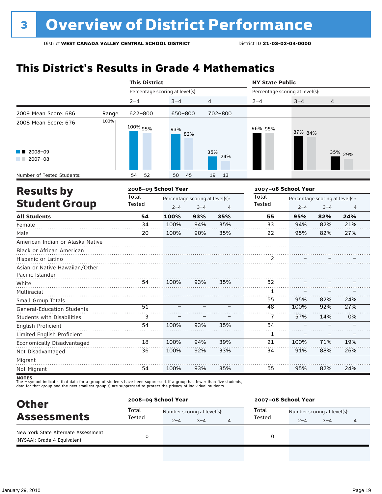## **This District's Results in Grade 4 Mathematics**

|                                                               |        | <b>This District</b> |                                 |         |            |                                 | <b>NY State Public</b> |                                 |                |  |
|---------------------------------------------------------------|--------|----------------------|---------------------------------|---------|------------|---------------------------------|------------------------|---------------------------------|----------------|--|
|                                                               |        |                      | Percentage scoring at level(s): |         |            | Percentage scoring at level(s): |                        |                                 |                |  |
|                                                               |        | $2 - 4$              | $3 - 4$                         |         | 4          | $2 - 4$                         | $3 - 4$                | 4                               |                |  |
| 2009 Mean Score: 686                                          | Range: | 622-800              | 650-800                         |         | 702-800    |                                 |                        |                                 |                |  |
| 2008 Mean Score: 676                                          | 100%   | 100% 95%             | 93%                             | 82%     |            | 96% 95%                         | 87% 84%                |                                 |                |  |
| 2008-09<br>$2007 - 08$                                        |        |                      |                                 |         | 35%<br>24% |                                 |                        |                                 | 35% 29%        |  |
| Number of Tested Students:                                    |        | 54<br>52             | 50                              | 45      | 19<br>13   |                                 |                        |                                 |                |  |
| <b>Results by</b>                                             |        | 2008-09 School Year  |                                 |         |            |                                 | 2007-08 School Year    |                                 |                |  |
|                                                               |        | <b>Total</b>         | Percentage scoring at level(s): |         |            | <b>Total</b>                    |                        | Percentage scoring at level(s): |                |  |
| <b>Student Group</b>                                          |        | Tested               | $2 - 4$                         | $3 - 4$ | 4          | Tested                          | $2 - 4$                | $3 - 4$                         | $\overline{4}$ |  |
| <b>All Students</b>                                           |        | 54                   | 100%                            | 93%     | 35%        | 55                              | 95%                    | 82%                             | 24%            |  |
| Female                                                        |        | 34                   | 100%                            | 94%     | 35%        | 33                              | 94%                    | 82%                             | 21%            |  |
| Male                                                          |        | 20                   | 100%                            | 90%     | 35%        | 22                              | 95%                    | 82%                             | 27%            |  |
| American Indian or Alaska Native<br>Black or African American |        |                      |                                 |         |            |                                 |                        |                                 |                |  |
| Hispanic or Latino                                            |        |                      |                                 |         |            | 2                               |                        |                                 |                |  |
| Asian or Native Hawaiian/Other                                |        |                      |                                 |         |            |                                 |                        |                                 |                |  |
| Pacific Islander                                              |        |                      |                                 |         |            |                                 |                        |                                 |                |  |
| White                                                         |        | 54                   | 100%                            | 93%     | 35%        | 52                              |                        |                                 |                |  |
| Multiracial                                                   |        |                      |                                 |         |            | $\mathbf{1}$                    |                        |                                 |                |  |
| Small Group Totals                                            |        |                      |                                 |         |            | 55                              | 95%                    | 82%                             | 24%            |  |
| <b>General-Education Students</b>                             |        | $\overline{51}$      |                                 |         |            | 48                              | 100%                   | 92%                             | 27%            |  |
| <b>Students with Disabilities</b>                             |        | 3                    |                                 |         |            | 7                               | 57%                    | 14%                             | 0%             |  |
| English Proficient                                            |        | 54                   | 100%                            | 93%     | 35%        | 54                              |                        |                                 |                |  |
| Limited English Proficient                                    |        |                      |                                 |         |            | 1                               |                        |                                 |                |  |
| Economically Disadvantaged                                    |        | 18                   | 100%                            | 94%     | 39%        | 21                              | 100%                   | 71%                             | 19%            |  |
| Not Disadvantaged                                             |        | 36                   | 100%                            | 92%     | 33%        | 34                              | 91%                    | 88%                             | 26%            |  |
| Migrant                                                       |        |                      |                                 |         |            |                                 |                        |                                 |                |  |
| Not Migrant                                                   |        | 54                   | 100%                            | 93%     | 35%        | 55                              | 95%                    | 82%                             | 24%            |  |

| <b>Other</b>                                                       |                 | 2008-09 School Year |                             | 2007-08 School Year |                             |         |   |  |
|--------------------------------------------------------------------|-----------------|---------------------|-----------------------------|---------------------|-----------------------------|---------|---|--|
| <b>Assessments</b>                                                 | Total<br>Tested |                     | Number scoring at level(s): | Total               | Number scoring at level(s): |         |   |  |
|                                                                    |                 | $2 - 4$             | $3 - 4$                     | Tested              | $2 - 4$                     | $3 - 4$ | 4 |  |
| New York State Alternate Assessment<br>(NYSAA): Grade 4 Equivalent |                 |                     |                             |                     |                             |         |   |  |
|                                                                    |                 |                     |                             |                     |                             |         |   |  |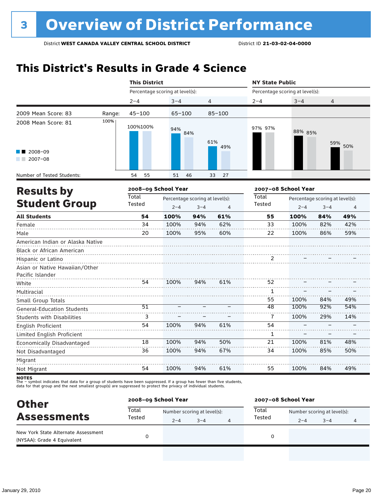### **This District's Results in Grade 4 Science**

|                                                               |        | <b>This District</b>            |            |                                 |                | <b>NY State Public</b>          |                     |                                 |     |
|---------------------------------------------------------------|--------|---------------------------------|------------|---------------------------------|----------------|---------------------------------|---------------------|---------------------------------|-----|
|                                                               |        | Percentage scoring at level(s): |            |                                 |                | Percentage scoring at level(s): |                     |                                 |     |
|                                                               |        | $2 - 4$                         | $3 - 4$    |                                 | 4              | $2 - 4$                         | $3 - 4$             | $\overline{4}$                  |     |
| 2009 Mean Score: 83                                           | Range: | $45 - 100$                      | $65 - 100$ |                                 | $85 - 100$     |                                 |                     |                                 |     |
| 2008 Mean Score: 81                                           | 100%   | 100%100%                        | 94%        | 84%                             | 61%<br>49%     | 97% 97%                         | 88% 85%             | 59%                             | 50% |
| 2008-09<br>$2007 - 08$                                        |        |                                 |            |                                 |                |                                 |                     |                                 |     |
| Number of Tested Students:                                    |        | 55<br>54                        | 51         | 46                              | 27<br>33       |                                 |                     |                                 |     |
| <b>Results by</b>                                             |        | 2008-09 School Year             |            |                                 |                |                                 | 2007-08 School Year |                                 |     |
|                                                               |        | <b>Total</b>                    |            | Percentage scoring at level(s): |                | Total                           |                     | Percentage scoring at level(s): |     |
| <b>Student Group</b>                                          |        | Tested                          | $2 - 4$    | $3 - 4$                         | $\overline{4}$ | Tested                          | $2 - 4$             | $3 - 4$                         | 4   |
| <b>All Students</b>                                           |        | 54                              | 100%       | 94%                             | 61%            | 55                              | 100%                | 84%                             | 49% |
| Female                                                        |        | 34                              | 100%       | 94%                             | 62%            | 33                              | 100%                | 82%                             | 42% |
| Male                                                          |        | 20                              | 100%       | 95%                             | 60%            | 22                              | 100%                | 86%                             | 59% |
| American Indian or Alaska Native<br>Black or African American |        |                                 |            |                                 |                |                                 |                     |                                 |     |
| Hispanic or Latino                                            |        |                                 |            |                                 |                | 2                               |                     |                                 |     |
| Asian or Native Hawaiian/Other<br>Pacific Islander            |        |                                 |            |                                 |                |                                 |                     |                                 |     |
| White                                                         |        | 54                              | 100%       | 94%                             | 61%            | 52                              |                     |                                 |     |
| Multiracial                                                   |        |                                 |            |                                 |                | 1                               |                     |                                 |     |
| Small Group Totals                                            |        |                                 |            |                                 |                | 55                              | 100%                | 84%                             | 49% |
| <b>General-Education Students</b>                             |        | $\overline{51}$                 |            |                                 |                | 48                              | 100%                | 92%                             | 54% |
| <b>Students with Disabilities</b>                             |        | 3                               |            |                                 |                | 7                               | 100%                | 29%                             | 14% |
| English Proficient                                            |        | 54                              | 100%       | 94%                             | 61%            | 54                              |                     |                                 |     |
| Limited English Proficient                                    |        |                                 |            |                                 |                | 1                               |                     |                                 |     |
| Economically Disadvantaged                                    |        | 18                              | 100%       | 94%                             | 50%            | 21                              | 100%                | 81%                             | 48% |
| Not Disadvantaged                                             |        | 36                              | 100%       | 94%                             | 67%            | 34                              | 100%                | 85%                             | 50% |
| Migrant                                                       |        |                                 |            |                                 |                |                                 |                     |                                 |     |
| Not Migrant                                                   |        | 54                              | 100%       | 94%                             | 61%            | 55                              | 100%                | 84%                             | 49% |

| <b>Other</b>                                                       |                 | 2008-09 School Year |                             |   | 2007-08 School Year |                             |         |   |  |
|--------------------------------------------------------------------|-----------------|---------------------|-----------------------------|---|---------------------|-----------------------------|---------|---|--|
| <b>Assessments</b>                                                 | Total<br>Tested |                     | Number scoring at level(s): |   | Total               | Number scoring at level(s): |         |   |  |
|                                                                    |                 | $2 - 4$             | $3 - 4$                     | 4 | Tested              | $2 - 4$                     | $3 - 4$ | 4 |  |
| New York State Alternate Assessment<br>(NYSAA): Grade 4 Equivalent |                 |                     |                             |   |                     |                             |         |   |  |
|                                                                    |                 |                     |                             |   |                     |                             |         |   |  |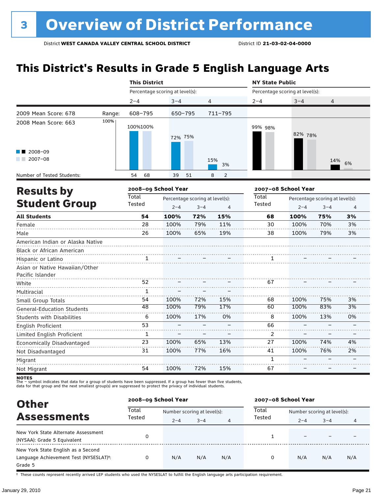### **This District's Results in Grade 5 English Language Arts**

|                                                               |        | <b>This District</b>            |              |                                            |                     | <b>NY State Public</b> |                                 |                                            |          |  |  |
|---------------------------------------------------------------|--------|---------------------------------|--------------|--------------------------------------------|---------------------|------------------------|---------------------------------|--------------------------------------------|----------|--|--|
|                                                               |        | Percentage scoring at level(s): |              |                                            |                     |                        | Percentage scoring at level(s): |                                            |          |  |  |
|                                                               |        | $2 - 4$                         | $3 - 4$      | 4                                          |                     | $2 - 4$                | $3 - 4$                         | 4                                          |          |  |  |
| 2009 Mean Score: 678                                          | Range: | 608-795                         | 650-795      |                                            | $711 - 795$         |                        |                                 |                                            |          |  |  |
| 2008 Mean Score: 663                                          | 100%   | 100%100%                        | 72% 75%      |                                            |                     | 99% 98%                | 82% 78%                         |                                            |          |  |  |
| 2008-09<br>$2007 - 08$                                        |        |                                 |              |                                            | 15%<br>3%           |                        |                                 | 14%                                        | 6%       |  |  |
| Number of Tested Students:                                    |        | 68<br>54                        | 39           | 51                                         | $\overline{2}$<br>8 |                        |                                 |                                            |          |  |  |
| <b>Results by</b>                                             |        | 2008-09 School Year             |              |                                            |                     |                        | 2007-08 School Year             |                                            |          |  |  |
| <b>Student Group</b>                                          |        | <b>Total</b><br>Tested          | $2 - 4$      | Percentage scoring at level(s):<br>$3 - 4$ | 4                   | <b>Total</b><br>Tested | $2 - 4$                         | Percentage scoring at level(s):<br>$3 - 4$ | 4        |  |  |
| <b>All Students</b>                                           |        | 54                              | 100%         | 72%                                        | 15%                 | 68                     | 100%                            | 75%                                        | 3%       |  |  |
| Female<br>Male                                                |        | 28<br>26                        | 100%<br>100% | 79%<br>65%                                 | 11%<br>19%          | 30<br>38               | 100%<br>100%                    | 70%<br>79%                                 | 3%<br>3% |  |  |
| American Indian or Alaska Native<br>Black or African American |        |                                 |              |                                            |                     |                        |                                 |                                            |          |  |  |
| Hispanic or Latino                                            |        |                                 |              |                                            |                     |                        |                                 |                                            |          |  |  |
| Asian or Native Hawaiian/Other<br>Pacific Islander            |        |                                 |              |                                            |                     |                        |                                 |                                            |          |  |  |
| White                                                         |        | 52                              |              |                                            |                     | 67                     |                                 |                                            |          |  |  |
| Multiracial                                                   |        | 1                               |              |                                            |                     |                        |                                 |                                            |          |  |  |
| Small Group Totals                                            |        | 54                              | 100%         | 72%                                        | 15%                 | 68                     | 100%                            | 75%                                        | 3%       |  |  |
| General-Education Students                                    |        | 48                              | 100%         | 79%                                        | 17%                 | 60                     | 100%                            | 83%                                        | 3%       |  |  |
| <b>Students with Disabilities</b>                             |        | 6                               | 100%         | 17%                                        | 0%                  | 8                      | 100%                            | 13%                                        | 0%       |  |  |
| English Proficient                                            |        | 53                              |              |                                            |                     | 66                     |                                 |                                            |          |  |  |
| Limited English Proficient                                    |        | 1                               |              |                                            |                     | 2                      |                                 |                                            |          |  |  |
| Economically Disadvantaged                                    |        | 23                              | 100%         | 65%                                        | 13%                 | 27                     | 100%                            | 74%                                        | 4%       |  |  |
| Not Disadvantaged                                             |        | 31                              | 100%         | 77%                                        | 16%                 | 41                     | 100%                            | 76%                                        | 2%       |  |  |
| Migrant                                                       |        |                                 |              |                                            |                     | $\mathbf{1}$           |                                 |                                            |          |  |  |
| Not Migrant                                                   |        | 54                              | 100%         | 72%                                        | 15%                 | 67                     |                                 |                                            |          |  |  |

**NOTES**<br>The – symbol indicates that data for a group of students have been suppressed. If a group has fewer than five students,<br>data for that group and the next smallest group(s) are suppressed to protect the privacy of in

| <b>Other</b>                                                                                         | 2008-09 School Year |                             |         |     | 2007-08 School Year |                             |         |     |  |
|------------------------------------------------------------------------------------------------------|---------------------|-----------------------------|---------|-----|---------------------|-----------------------------|---------|-----|--|
| <b>Assessments</b>                                                                                   | Total<br>Tested     | Number scoring at level(s): |         |     | Total               | Number scoring at level(s): |         |     |  |
|                                                                                                      |                     | $2 - 4$                     | $3 - 4$ | 4   | Tested              | $2 - 4$                     | $3 - 4$ | 4   |  |
| New York State Alternate Assessment<br>(NYSAA): Grade 5 Equivalent                                   | 0                   |                             |         |     |                     |                             |         |     |  |
| New York State English as a Second<br>Language Achievement Test (NYSESLAT) <sup>+</sup> :<br>Grade 5 |                     | N/A                         | N/A     | N/A | 0                   | N/A                         | N/A     | N/A |  |

† These counts represent recently arrived LEP students who used the NYSESLAT to fulfill the English language arts participation requirement.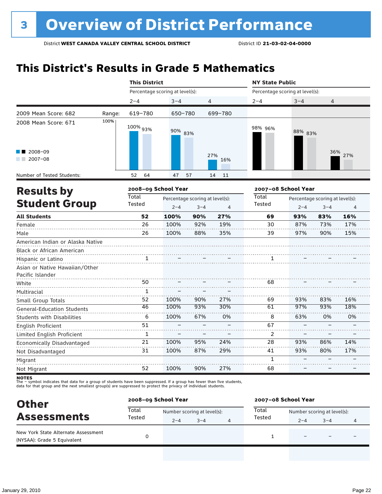### **This District's Results in Grade 5 Mathematics**

|                                           |        | <b>This District</b>            |                                                                         |     |                | <b>NY State Public</b>          |                     |                                            |                |  |
|-------------------------------------------|--------|---------------------------------|-------------------------------------------------------------------------|-----|----------------|---------------------------------|---------------------|--------------------------------------------|----------------|--|
|                                           |        | Percentage scoring at level(s): |                                                                         |     |                | Percentage scoring at level(s): |                     |                                            |                |  |
|                                           |        | $2 - 4$                         | $3 - 4$                                                                 |     | $\overline{4}$ | $2 - 4$                         | $3 - 4$             | 4                                          |                |  |
| 2009 Mean Score: 682                      | Range: | 619-780                         | 650-780                                                                 |     | 699-780        |                                 |                     |                                            |                |  |
| 2008 Mean Score: 671                      | 100%   | 100% 93%                        | 90% 83%                                                                 |     |                | 98% 96%                         | 88% 83%             |                                            |                |  |
| 2008-09<br>$2007 - 08$                    |        |                                 |                                                                         |     | 27%<br>16%     |                                 |                     |                                            | 36% 27%        |  |
| Number of Tested Students:                |        | 64<br>52                        | 47                                                                      | 57  | 11<br>14       |                                 |                     |                                            |                |  |
|                                           |        | 2008-09 School Year             |                                                                         |     |                |                                 | 2007-08 School Year |                                            |                |  |
| <b>Results by</b><br><b>Student Group</b> |        | <b>Total</b><br>Tested          | Percentage scoring at level(s):<br>$2 - 4$<br>$3 - 4$<br>$\overline{4}$ |     |                | <b>Total</b><br>Tested          | $2 - 4$             | Percentage scoring at level(s):<br>$3 - 4$ | $\overline{4}$ |  |
| <b>All Students</b>                       |        | 52                              | 100%                                                                    | 90% | 27%            | 69                              | 93%                 | 83%                                        | 16%            |  |
| Female                                    |        | 26                              | 100%                                                                    | 92% | 19%            | 30                              | 87%                 | 73%                                        | 17%            |  |
| Male                                      |        | 26                              | 100%                                                                    | 88% | 35%            | 39                              | 97%                 | 90%                                        | 15%            |  |
| American Indian or Alaska Native          |        |                                 |                                                                         |     |                |                                 |                     |                                            |                |  |
| Black or African American                 |        |                                 |                                                                         |     |                |                                 |                     |                                            |                |  |
| Hispanic or Latino                        |        |                                 |                                                                         |     |                | 1                               |                     |                                            |                |  |
| Asian or Native Hawaiian/Other            |        |                                 |                                                                         |     |                |                                 |                     |                                            |                |  |
| Pacific Islander                          |        |                                 |                                                                         |     |                |                                 |                     |                                            |                |  |
| White                                     |        | 50                              |                                                                         |     |                | 68                              |                     |                                            |                |  |
| Multiracial                               |        | 1                               |                                                                         |     |                |                                 |                     |                                            |                |  |
| Small Group Totals                        |        | 52                              | 100%                                                                    | 90% | 27%            | 69                              | 93%                 | 83%                                        | 16%            |  |
| <b>General-Education Students</b>         |        | 46                              | 100%                                                                    | 93% | 30%            | 61                              | 97%                 | 93%                                        | 18%            |  |
| <b>Students with Disabilities</b>         |        | 6                               | 100%                                                                    | 67% | 0%             | 8                               | 63%                 | 0%                                         | 0%             |  |
| English Proficient                        |        | 51                              |                                                                         |     |                | 67                              |                     |                                            |                |  |
| Limited English Proficient                |        | $\mathbf{1}$                    |                                                                         |     |                | 2                               |                     |                                            |                |  |
| Economically Disadvantaged                |        | 21                              | 100%                                                                    | 95% | 24%            | 28                              | 93%                 | 86%                                        | 14%            |  |
| Not Disadvantaged                         |        | 31                              | 100%                                                                    | 87% | 29%            | 41                              | 93%                 | 80%                                        | 17%            |  |
| Migrant                                   |        |                                 |                                                                         |     |                | $\mathbf{1}$                    |                     |                                            |                |  |
| Not Migrant                               |        | 52                              | 100%                                                                    | 90% | 27%            | 68                              |                     |                                            |                |  |

| <b>Other</b>                                                       |                 | 2008-09 School Year         |         |  | 2007-08 School Year |                             |         |  |  |
|--------------------------------------------------------------------|-----------------|-----------------------------|---------|--|---------------------|-----------------------------|---------|--|--|
| <b>Assessments</b>                                                 | Total<br>Tested | Number scoring at level(s): |         |  | Total               | Number scoring at level(s): |         |  |  |
|                                                                    |                 | $2 - 4$                     | $3 - 4$ |  | Tested              | $2 - 4$                     | $3 - 4$ |  |  |
| New York State Alternate Assessment<br>(NYSAA): Grade 5 Equivalent |                 |                             |         |  |                     |                             | -       |  |  |
|                                                                    |                 |                             |         |  |                     |                             |         |  |  |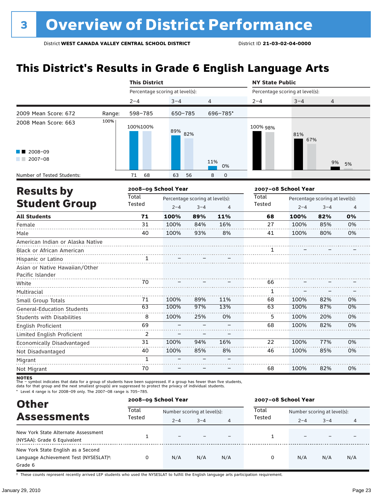### **This District's Results in Grade 6 English Language Arts**

|                                                               |        | <b>This District</b>            |         |                                            |           | <b>NY State Public</b>                                                   |                                 |     |    |  |
|---------------------------------------------------------------|--------|---------------------------------|---------|--------------------------------------------|-----------|--------------------------------------------------------------------------|---------------------------------|-----|----|--|
|                                                               |        | Percentage scoring at level(s): |         |                                            |           |                                                                          | Percentage scoring at level(s): |     |    |  |
|                                                               |        | $2 - 4$                         | $3 - 4$ | 4                                          |           | $2 - 4$                                                                  | $3 - 4$                         | 4   |    |  |
| 2009 Mean Score: 672                                          | Range: | 598-785                         | 650-785 |                                            | 696-785*  |                                                                          |                                 |     |    |  |
| 2008 Mean Score: 663                                          | 100%   | 100%100%                        | 89% 82% |                                            |           | 100% 98%                                                                 | 81%<br>67%                      |     |    |  |
| 2008-09<br>$2007 - 08$                                        |        |                                 |         |                                            | 11%<br>0% |                                                                          |                                 | 9%  | 5% |  |
| Number of Tested Students:                                    |        | 71<br>68                        | 63      | 56                                         | 8<br>0    |                                                                          |                                 |     |    |  |
| <b>Results by</b>                                             |        | 2008-09 School Year             |         |                                            |           |                                                                          | 2007-08 School Year             |     |    |  |
| <b>Student Group</b>                                          |        | Total<br>Tested                 | $2 - 4$ | Percentage scoring at level(s):<br>$3 - 4$ | 4         | Total<br>Percentage scoring at level(s):<br>Tested<br>$2 - 4$<br>$3 - 4$ |                                 |     |    |  |
| <b>All Students</b>                                           |        | 71                              | 100%    | 89%                                        | 11%       | 68                                                                       | 100%                            | 82% | 0% |  |
| Female                                                        |        | 31                              | 100%    | 84%                                        | 16%       | 27                                                                       | 100%                            | 85% | 0% |  |
| Male                                                          |        | 40                              | 100%    | 93%                                        | 8%        | 41                                                                       | 100%                            | 80% | 0% |  |
| American Indian or Alaska Native<br>Black or African American |        |                                 |         |                                            |           | 1                                                                        |                                 |     |    |  |
| Hispanic or Latino                                            |        |                                 |         |                                            |           |                                                                          |                                 |     |    |  |
| Asian or Native Hawaiian/Other<br>Pacific Islander            |        |                                 |         |                                            |           |                                                                          |                                 |     |    |  |
| White                                                         |        | 70<br>.                         |         |                                            |           | 66                                                                       |                                 |     |    |  |
| Multiracial                                                   |        |                                 |         |                                            |           | 1                                                                        |                                 |     |    |  |
| Small Group Totals                                            |        | 71                              | 100%    | 89%                                        | 11%       | 68                                                                       | 100%                            | 82% | 0% |  |
| <b>General-Education Students</b>                             |        | 63                              | 100%    | 97%                                        | 13%       | 63                                                                       | 100%                            | 87% | 0% |  |
| <b>Students with Disabilities</b>                             |        | 8                               | 100%    | 25%                                        | 0%        | 5                                                                        | 100%                            | 20% | 0% |  |
| English Proficient                                            |        | 69                              |         |                                            |           | 68                                                                       | 100%                            | 82% | 0% |  |
| Limited English Proficient                                    |        | $\overline{2}$                  |         |                                            |           |                                                                          |                                 |     |    |  |
| Economically Disadvantaged                                    |        | 31                              | 100%    | 94%                                        | 16%       | 22                                                                       | 100%                            | 77% | 0% |  |
| Not Disadvantaged                                             |        | 40                              | 100%    | 85%                                        | 8%        | 46                                                                       | 100%                            | 85% | 0% |  |
| Migrant                                                       |        | $\mathbf{1}$                    |         |                                            |           |                                                                          |                                 |     |    |  |
| Not Migrant                                                   |        | 70                              |         |                                            |           | 68                                                                       | 100%                            | 82% | 0% |  |

**NOTES**<br>The – symbol indicates that data for a group of students have been suppressed. If a group has fewer than five students,<br>data for that group and the next smallest group(s) are suppressed to protect the privacy of in

\* Level 4 range is for 2008–09 only. The 2007–08 range is 705–785.

| <b>Other</b>                                                                                         |                 | 2008-09 School Year         |         |     | 2007-08 School Year |                             |         |     |  |
|------------------------------------------------------------------------------------------------------|-----------------|-----------------------------|---------|-----|---------------------|-----------------------------|---------|-----|--|
|                                                                                                      | Total<br>Tested | Number scoring at level(s): |         |     | Total<br>Tested     | Number scoring at level(s): |         |     |  |
| <b>Assessments</b>                                                                                   |                 | $2 - 4$                     | $3 - 4$ | 4   |                     | $2 - 4$                     | $3 - 4$ | 4   |  |
| New York State Alternate Assessment<br>(NYSAA): Grade 6 Equivalent                                   |                 |                             |         |     |                     |                             |         |     |  |
| New York State English as a Second<br>Language Achievement Test (NYSESLAT) <sup>+</sup> :<br>Grade 6 | 0               | N/A                         | N/A     | N/A | 0                   | N/A                         | N/A     | N/A |  |

† These counts represent recently arrived LEP students who used the NYSESLAT to fulfill the English language arts participation requirement.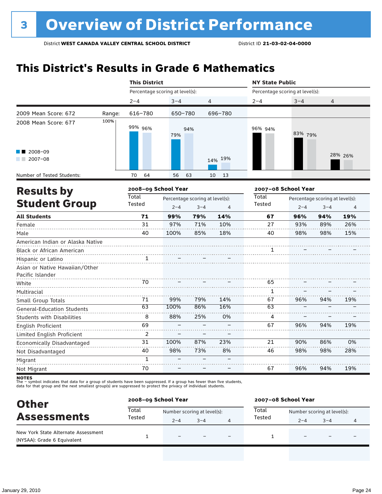## **This District's Results in Grade 6 Mathematics**

|                                                    |        | <b>This District</b>            |         |                                            |                | <b>NY State Public</b> |     |                                                                                                                                                               |                |  |
|----------------------------------------------------|--------|---------------------------------|---------|--------------------------------------------|----------------|------------------------|-----|---------------------------------------------------------------------------------------------------------------------------------------------------------------|----------------|--|
|                                                    |        | Percentage scoring at level(s): |         |                                            |                |                        |     | Percentage scoring at level(s):<br>$3 - 4$<br>4<br>83% 79%<br>Percentage scoring at level(s):<br>$2 - 4$<br>$3 - 4$<br>96%<br>94%<br>93%<br>89%<br>98%<br>98% |                |  |
|                                                    |        | $2 - 4$                         | $3 - 4$ | 4                                          |                | $2 - 4$                |     |                                                                                                                                                               |                |  |
| 2009 Mean Score: 672                               | Range: | 616-780                         | 650-780 |                                            | 696-780        |                        |     |                                                                                                                                                               |                |  |
| 2008 Mean Score: 677                               | 100%   | 99% 96%                         | 79%     | 94%                                        |                | 96% 94%                |     |                                                                                                                                                               |                |  |
| 2008-09<br>$2007 - 08$                             |        |                                 |         |                                            | 14% 19%        |                        |     |                                                                                                                                                               | 28% 26%        |  |
| Number of Tested Students:                         |        | 64<br>70                        | 56      | 63                                         | 13<br>10       |                        |     |                                                                                                                                                               |                |  |
| <b>Results by</b>                                  |        | 2008-09 School Year             |         |                                            |                | 2007-08 School Year    |     |                                                                                                                                                               |                |  |
| <b>Student Group</b>                               |        | <b>Total</b><br>Tested          | $2 - 4$ | Percentage scoring at level(s):<br>$3 - 4$ | $\overline{4}$ | <b>Total</b><br>Tested |     |                                                                                                                                                               | $\overline{4}$ |  |
| <b>All Students</b>                                |        | 71                              | 99%     | 79%                                        | 14%            | 67                     |     |                                                                                                                                                               | 19%            |  |
| Female                                             |        | 31                              | 97%     | 71%                                        | 10%            | 27                     |     |                                                                                                                                                               | 26%            |  |
| Male                                               |        | 40                              | 100%    | 85%                                        | 18%            | 40                     |     |                                                                                                                                                               | 15%            |  |
| American Indian or Alaska Native                   |        |                                 |         |                                            |                |                        |     |                                                                                                                                                               |                |  |
| Black or African American                          |        |                                 |         |                                            |                |                        |     |                                                                                                                                                               |                |  |
| Hispanic or Latino                                 |        |                                 |         |                                            |                |                        |     |                                                                                                                                                               |                |  |
| Asian or Native Hawaiian/Other<br>Pacific Islander |        |                                 |         |                                            |                |                        |     |                                                                                                                                                               |                |  |
| White                                              |        | 70<br>.                         |         |                                            |                | 65                     |     |                                                                                                                                                               |                |  |
| Multiracial                                        |        |                                 |         |                                            |                | 1                      |     |                                                                                                                                                               |                |  |
| Small Group Totals                                 |        | 71                              | 99%     | 79%                                        | 14%            | 67                     | 96% | 94%                                                                                                                                                           | 19%            |  |
| <b>General-Education Students</b>                  |        | 63                              | 100%    | 86%                                        | 16%            | 63                     |     |                                                                                                                                                               |                |  |
| <b>Students with Disabilities</b>                  |        | 8                               | 88%     | 25%                                        | 0%             | 4                      |     |                                                                                                                                                               |                |  |
| English Proficient                                 |        | 69                              |         |                                            |                | 67                     | 96% | 94%                                                                                                                                                           | 19%            |  |
| Limited English Proficient                         |        | $\overline{2}$                  |         |                                            |                |                        |     |                                                                                                                                                               |                |  |
| Economically Disadvantaged                         |        | 31                              | 100%    | 87%                                        | 23%            | 21                     | 90% | 86%                                                                                                                                                           | 0%             |  |
| Not Disadvantaged                                  |        | 40                              | 98%     | 73%                                        | 8%             | 46                     | 98% | 98%                                                                                                                                                           | 28%            |  |
| Migrant                                            |        | $\mathbf{1}$                    |         |                                            |                |                        |     |                                                                                                                                                               |                |  |
| Not Migrant                                        |        | 70                              |         |                                            |                | 67                     | 96% | 94%                                                                                                                                                           | 19%            |  |

| <b>Other</b>                                                       |                 | 2008-09 School Year      |                             |   | 2007-08 School Year |                             |         |  |  |
|--------------------------------------------------------------------|-----------------|--------------------------|-----------------------------|---|---------------------|-----------------------------|---------|--|--|
| <b>Assessments</b>                                                 | Total<br>Tested |                          | Number scoring at level(s): |   | Total               | Number scoring at level(s): |         |  |  |
|                                                                    |                 | $2 - 4$                  | $3 - 4$                     | 4 | Tested              | $2 - 4$                     | $3 - 4$ |  |  |
| New York State Alternate Assessment<br>(NYSAA): Grade 6 Equivalent |                 | $\overline{\phantom{0}}$ |                             |   |                     |                             |         |  |  |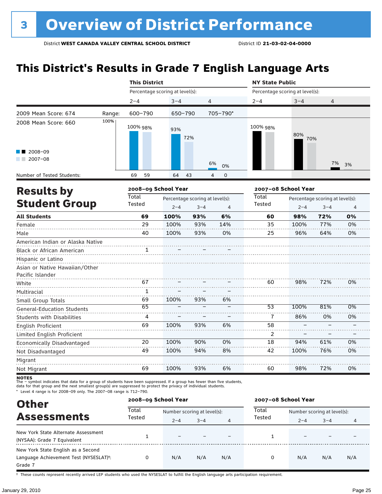### **This District's Results in Grade 7 English Language Arts**

|                                                               |        | <b>This District</b>            |                                 |         |                               | <b>NY State Public</b>          |                     |                                 |                |  |
|---------------------------------------------------------------|--------|---------------------------------|---------------------------------|---------|-------------------------------|---------------------------------|---------------------|---------------------------------|----------------|--|
|                                                               |        | Percentage scoring at level(s): |                                 |         |                               | Percentage scoring at level(s): |                     |                                 |                |  |
|                                                               |        | $2 - 4$                         | $3 - 4$                         |         | 4                             | $2 - 4$                         | $3 - 4$             | 4                               |                |  |
| 2009 Mean Score: 674                                          | Range: | 600-790                         | 650-790                         |         | 705-790*                      |                                 |                     |                                 |                |  |
| 2008 Mean Score: 660                                          | 100%   | 100% 98%                        | 93%                             | 72%     |                               | 100% 98%                        | 80%<br>70%          |                                 |                |  |
| 2008-09<br>$2007 - 08$                                        |        |                                 |                                 |         | 6%<br>0%                      |                                 |                     | 7%                              | 3%             |  |
| Number of Tested Students:                                    |        | 69<br>59                        | 64                              | 43      | $\overline{4}$<br>$\mathbf 0$ |                                 |                     |                                 |                |  |
| <b>Results by</b>                                             |        | 2008-09 School Year             |                                 |         |                               |                                 | 2007-08 School Year |                                 |                |  |
|                                                               |        | Total                           | Percentage scoring at level(s): |         |                               | Total                           |                     | Percentage scoring at level(s): |                |  |
| <b>Student Group</b>                                          |        | Tested                          | $2 - 4$                         | $3 - 4$ | $\overline{4}$                | <b>Tested</b>                   | $2 - 4$             | $3 - 4$                         | $\overline{4}$ |  |
| <b>All Students</b>                                           |        | 69                              | 100%                            | 93%     | 6%                            | 60                              | 98%                 | 72%                             | 0%             |  |
| Female                                                        |        | 29                              | 100%                            | 93%     | 14%                           | 35                              | 100%                | 77%                             | 0%             |  |
| Male                                                          |        | 40                              | 100%                            | 93%     | 0%                            | 25                              | 96%                 | 64%                             | 0%             |  |
| American Indian or Alaska Native<br>Black or African American |        | 1                               |                                 |         |                               |                                 |                     |                                 |                |  |
| Hispanic or Latino<br>Asian or Native Hawaiian/Other          |        |                                 |                                 |         |                               |                                 |                     |                                 |                |  |
| Pacific Islander<br>White                                     |        | 67                              |                                 |         |                               | 60                              | 98%                 | 72%                             | 0%             |  |
| Multiracial                                                   |        | 1                               |                                 |         |                               |                                 |                     |                                 |                |  |
| Small Group Totals                                            |        | 69                              | 100%                            | 93%     | 6%                            |                                 |                     |                                 |                |  |
| <b>General-Education Students</b>                             |        | 65                              |                                 |         |                               | $\overline{53}$                 | 100%                | 81%                             | 0%             |  |
| <b>Students with Disabilities</b>                             |        | 4                               |                                 |         |                               | 7                               | 86%                 | 0%                              | 0%             |  |
| English Proficient                                            |        | 69                              | 100%                            | 93%     | 6%                            | 58                              |                     |                                 |                |  |
| Limited English Proficient                                    |        |                                 |                                 |         |                               | $\overline{2}$                  |                     |                                 |                |  |
| Economically Disadvantaged                                    |        | 20                              | 100%                            | 90%     | 0%                            | 18                              | 94%                 | 61%                             | 0%             |  |
| Not Disadvantaged                                             |        | 49                              | 100%                            | 94%     | 8%                            | 42                              | 100%                | 76%                             | 0%             |  |
| Migrant                                                       |        |                                 |                                 |         |                               |                                 |                     |                                 |                |  |
| Not Migrant                                                   |        | 69                              | 100%                            | 93%     | 6%                            | 60                              | 98%                 | 72%                             | 0%             |  |

**NOTES**<br>The – symbol indicates that data for a group of students have been suppressed. If a group has fewer than five students,<br>data for that group and the next smallest group(s) are suppressed to protect the privacy of in

\* Level 4 range is for 2008–09 only. The 2007–08 range is 712–790.

| <b>Other</b>                                                                                         | 2008-09 School Year |                             |         |     | 2007-08 School Year |                             |         |     |  |
|------------------------------------------------------------------------------------------------------|---------------------|-----------------------------|---------|-----|---------------------|-----------------------------|---------|-----|--|
| <b>Assessments</b>                                                                                   | Total               | Number scoring at level(s): |         |     | Total<br>Tested     | Number scoring at level(s): |         |     |  |
|                                                                                                      | Tested              | $2 - 4$                     | $3 - 4$ | 4   |                     | $2 - 4$                     | $3 - 4$ | 4   |  |
| New York State Alternate Assessment<br>(NYSAA): Grade 7 Equivalent                                   |                     | $\equiv$                    |         |     |                     |                             |         |     |  |
| New York State English as a Second<br>Language Achievement Test (NYSESLAT) <sup>+</sup> :<br>Grade 7 | 0                   | N/A                         | N/A     | N/A | 0                   | N/A                         | N/A     | N/A |  |

† These counts represent recently arrived LEP students who used the NYSESLAT to fulfill the English language arts participation requirement.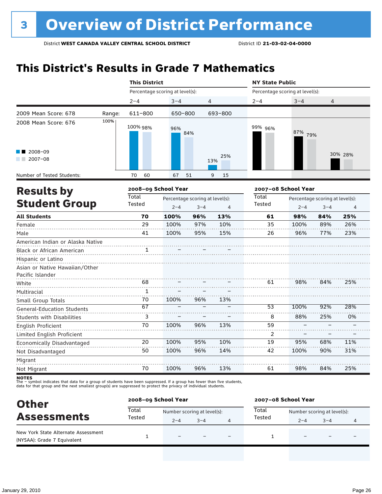### **This District's Results in Grade 7 Mathematics**

|                                           |        | <b>This District</b>            |                                            |         |                | <b>NY State Public</b> |                     |                                                                                               |                |  |  |
|-------------------------------------------|--------|---------------------------------|--------------------------------------------|---------|----------------|------------------------|---------------------|-----------------------------------------------------------------------------------------------|----------------|--|--|
|                                           |        | Percentage scoring at level(s): |                                            |         |                |                        |                     | Percentage scoring at level(s):<br>$3 - 4$<br>4<br>87% 79%<br>Percentage scoring at level(s): |                |  |  |
|                                           |        | $2 - 4$                         | $3 - 4$                                    |         | $\overline{4}$ | $2 - 4$                |                     |                                                                                               |                |  |  |
| 2009 Mean Score: 678                      | Range: | 611-800                         | 650-800                                    |         | 693-800        |                        |                     |                                                                                               |                |  |  |
| 2008 Mean Score: 676                      | 100%   | 100% 98%                        | 96%                                        | 84%     |                | 99% 96%                |                     |                                                                                               |                |  |  |
| 2008-09<br>$2007 - 08$                    |        |                                 |                                            |         | 25%<br>13%     |                        |                     |                                                                                               | 30% 28%        |  |  |
| Number of Tested Students:                |        | 70<br>60                        | 67                                         | 51      | 9<br>15        |                        |                     |                                                                                               |                |  |  |
|                                           |        | 2008-09 School Year             |                                            |         |                |                        | 2007-08 School Year |                                                                                               |                |  |  |
| <b>Results by</b><br><b>Student Group</b> |        | <b>Total</b><br>Tested          | Percentage scoring at level(s):<br>$2 - 4$ | $3 - 4$ | $\overline{4}$ | Total<br>Tested        | $2 - 4$<br>$3 - 4$  |                                                                                               | $\overline{4}$ |  |  |
| <b>All Students</b>                       |        | 70                              | 100%                                       | 96%     | 13%            | 61                     | 98%                 | 84%                                                                                           | 25%            |  |  |
| Female                                    |        | 29                              | 100%                                       | 97%     | 10%            | 35                     | 100%                | 89%                                                                                           | 26%            |  |  |
| Male                                      |        | 41                              | 100%                                       | 95%     | 15%            | 26                     | 96%                 | 77%                                                                                           | 23%            |  |  |
| American Indian or Alaska Native          |        |                                 |                                            |         |                |                        |                     |                                                                                               |                |  |  |
| Black or African American                 |        | 1                               |                                            |         |                |                        |                     |                                                                                               |                |  |  |
| Hispanic or Latino                        |        |                                 |                                            |         |                |                        |                     |                                                                                               |                |  |  |
| Asian or Native Hawaiian/Other            |        |                                 |                                            |         |                |                        |                     |                                                                                               |                |  |  |
| Pacific Islander                          |        | 68                              |                                            |         |                | 61                     | 98%                 | 84%                                                                                           | 25%            |  |  |
| White                                     |        |                                 |                                            |         |                |                        |                     |                                                                                               |                |  |  |
| Multiracial                               |        | $\mathbf{1}$                    |                                            |         |                |                        |                     |                                                                                               |                |  |  |
| Small Group Totals                        |        | 70<br>$\overline{67}$           | 100%                                       | 96%     | 13%            | 53                     | 100%                | 92%                                                                                           | 28%            |  |  |
| General-Education Students                |        |                                 |                                            |         |                |                        |                     |                                                                                               |                |  |  |
| <b>Students with Disabilities</b>         |        | 3                               |                                            |         |                | 8                      | 88%                 | 25%                                                                                           | 0%             |  |  |
| <b>English Proficient</b>                 |        | 70                              | 100%                                       | 96%     | 13%            | 59                     |                     |                                                                                               |                |  |  |
| Limited English Proficient                |        |                                 |                                            |         |                | 2                      |                     |                                                                                               |                |  |  |
| Economically Disadvantaged                |        | 20                              | 100%                                       | 95%     | 10%            | 19                     | 95%                 | 68%                                                                                           | 11%            |  |  |
| Not Disadvantaged                         |        | 50                              | 100%                                       | 96%     | 14%            | 42                     | 100%                | 90%                                                                                           | 31%            |  |  |
| Migrant                                   |        |                                 |                                            |         |                |                        |                     |                                                                                               |                |  |  |
| Not Migrant                               |        | 70                              | 100%                                       | 96%     | 13%            | 61                     | 98%                 | 84%                                                                                           | 25%            |  |  |

| <b>Other</b>                                                       |        | 2008-09 School Year         |         | 2007-08 School Year |         |                             |   |  |
|--------------------------------------------------------------------|--------|-----------------------------|---------|---------------------|---------|-----------------------------|---|--|
|                                                                    | Total  | Number scoring at level(s): |         | Total               |         | Number scoring at level(s): |   |  |
| <b>Assessments</b>                                                 | Tested | $2 - 4$                     | $3 - 4$ | Tested              | $2 - 4$ | $3 - 4$                     | 4 |  |
| New York State Alternate Assessment<br>(NYSAA): Grade 7 Equivalent |        |                             |         |                     |         | $\overline{\phantom{0}}$    |   |  |
|                                                                    |        |                             |         |                     |         |                             |   |  |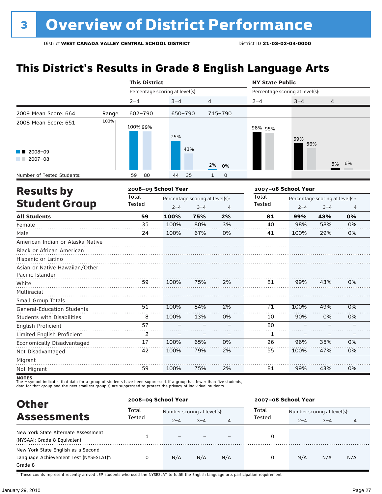### **This District's Results in Grade 8 English Language Arts**

|                                   |        | <b>This District</b>            |                                 |         |                             | <b>NY State Public</b>          |                     |                                                                                                                                                    |    |  |
|-----------------------------------|--------|---------------------------------|---------------------------------|---------|-----------------------------|---------------------------------|---------------------|----------------------------------------------------------------------------------------------------------------------------------------------------|----|--|
|                                   |        | Percentage scoring at level(s): |                                 |         |                             | Percentage scoring at level(s): |                     | $3 - 4$<br>4<br>69%<br>56%<br>5%<br>Percentage scoring at level(s):<br>$2 - 4$<br>$3 - 4$<br>99%<br>43%<br>98%<br>58%<br>100%<br>29%<br>99%<br>43% |    |  |
|                                   |        | $2 - 4$                         | $3 - 4$                         |         | 4                           | $2 - 4$                         |                     |                                                                                                                                                    |    |  |
| 2009 Mean Score: 664              | Range: | $602 - 790$                     | 650-790                         |         | 715-790                     |                                 |                     |                                                                                                                                                    |    |  |
| 2008 Mean Score: 651              | 100%   | 100% 99%                        | 75%                             |         |                             | 98% 95%                         |                     |                                                                                                                                                    |    |  |
| 2008-09<br>$2007 - 08$<br>a sa ta |        |                                 |                                 | 43%     | 2%<br>0%                    |                                 |                     |                                                                                                                                                    | 6% |  |
| Number of Tested Students:        |        | 80<br>59                        | 44                              | 35      | $\mathbf{1}$<br>$\mathbf 0$ |                                 |                     |                                                                                                                                                    |    |  |
| <b>Results by</b>                 |        | 2008-09 School Year             |                                 |         |                             |                                 | 2007-08 School Year |                                                                                                                                                    |    |  |
|                                   |        | <b>Total</b>                    | Percentage scoring at level(s): |         |                             | Total                           |                     |                                                                                                                                                    |    |  |
| <b>Student Group</b>              |        | Tested                          | $2 - 4$                         | $3 - 4$ | 4                           | <b>Tested</b>                   |                     |                                                                                                                                                    | 4  |  |
| <b>All Students</b>               |        | 59                              | 100%                            | 75%     | 2%                          | 81                              |                     |                                                                                                                                                    | 0% |  |
| Female                            |        | 35                              | 100%                            | 80%     | 3%                          | 40                              |                     |                                                                                                                                                    | 0% |  |
| Male                              |        | 24                              | 100%                            | 67%     | 0%                          | 41                              |                     |                                                                                                                                                    | 0% |  |
| American Indian or Alaska Native  |        |                                 |                                 |         |                             |                                 |                     |                                                                                                                                                    |    |  |
| <b>Black or African American</b>  |        |                                 |                                 |         |                             |                                 |                     |                                                                                                                                                    |    |  |
| Hispanic or Latino                |        |                                 |                                 |         |                             |                                 |                     |                                                                                                                                                    |    |  |
| Asian or Native Hawaiian/Other    |        |                                 |                                 |         |                             |                                 |                     |                                                                                                                                                    |    |  |
| Pacific Islander                  |        |                                 |                                 |         |                             |                                 |                     |                                                                                                                                                    |    |  |
| White                             |        | 59                              | 100%                            | 75%     | 2%                          | 81                              |                     |                                                                                                                                                    | 0% |  |
| Multiracial                       |        |                                 |                                 |         |                             |                                 |                     |                                                                                                                                                    |    |  |
| Small Group Totals                |        | $\overline{51}$                 | 100%                            | 84%     | 2%                          | 71                              | 100%                | 49%                                                                                                                                                | 0% |  |
| <b>General-Education Students</b> |        |                                 |                                 |         |                             |                                 |                     |                                                                                                                                                    |    |  |
| <b>Students with Disabilities</b> |        | 8                               | 100%                            | 13%     | 0%                          | 10                              | 90%                 | 0%                                                                                                                                                 | 0% |  |
| <b>English Proficient</b>         |        | 57                              |                                 |         |                             | 80                              |                     |                                                                                                                                                    |    |  |
| Limited English Proficient        |        | 2                               |                                 |         |                             | 1                               |                     |                                                                                                                                                    |    |  |
| Economically Disadvantaged        |        | 17                              | 100%                            | 65%     | 0%                          | 26                              | 96%                 | 35%                                                                                                                                                | 0% |  |
| Not Disadvantaged                 |        | 42                              | 100%                            | 79%     | 2%                          | 55                              | 100%                | 47%                                                                                                                                                | 0% |  |
| Migrant                           |        |                                 |                                 |         |                             |                                 |                     |                                                                                                                                                    |    |  |
| Not Migrant                       |        | 59                              | 100%                            | 75%     | 2%                          | 81                              | 99%                 | 43%                                                                                                                                                | 0% |  |

**NOTES**<br>The – symbol indicates that data for a group of students have been suppressed. If a group has fewer than five students,<br>data for that group and the next smallest group(s) are suppressed to protect the privacy of in

**Other Assessments**<br>Assessments Tested  $\frac{1}{2-4}$  and  $\frac{1}{2-4}$  and  $\frac{1}{2}$  Tested  $\frac{1}{2-4}$  and  $\frac{1}{2-4}$  and  $\frac{1}{2-4}$  and  $\frac{1}{2-4}$  and  $\frac{1}{2-4}$  and  $\frac{1}{2-4}$  and  $\frac{1}{2-4}$  and  $\frac{1}{2-4}$  and  $\frac{1}{2-4}$  $2-4$   $3-4$   $4$   $1 \le 3 \le 4$   $2-4$   $3-4$   $4$ **2008–09 School Year 2007–08 School Year Total** Tested **Total** Tested New York State Alternate Assessment New York State Attendite Assessment<br>(NYSAA): Grade 8 Equivalent 1 – – – – – – – 0<br>DYSAA): Grade 8 Equivalent 1 New York State English as a Second Language Achievement Test (NYSESLAT)†: Grade 8 0 N/A N/A N/A 0 N/A N/A N/A

† These counts represent recently arrived LEP students who used the NYSESLAT to fulfill the English language arts participation requirement.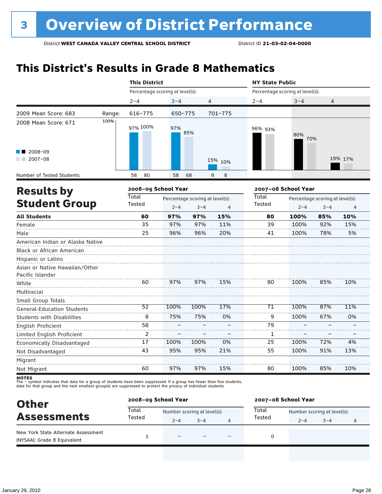### **This District's Results in Grade 8 Mathematics**

|                                   |        | <b>This District</b>            |                                 |         |         | <b>NY State Public</b>          |                     |                                 |                |  |
|-----------------------------------|--------|---------------------------------|---------------------------------|---------|---------|---------------------------------|---------------------|---------------------------------|----------------|--|
|                                   |        | Percentage scoring at level(s): |                                 |         |         | Percentage scoring at level(s): |                     |                                 |                |  |
|                                   |        | $2 - 4$                         | $3 - 4$                         | 4       |         | $2 - 4$                         | $3 - 4$             | 4                               |                |  |
| 2009 Mean Score: 683              | Range: | 616-775                         | 650-775                         |         | 701-775 |                                 |                     |                                 |                |  |
| 2008 Mean Score: 671              | 100%   | 97% 100%                        | 97%                             | 85%     |         | 96% 93%                         | 80%<br>70%          |                                 |                |  |
| 2008-09<br>$2007 - 08$            |        |                                 |                                 |         | 15% 10% |                                 |                     |                                 | 19% 17%        |  |
| Number of Tested Students:        |        | 58<br>80                        | 58                              | 68      | 9<br>8  |                                 |                     |                                 |                |  |
| <b>Results by</b>                 |        | 2008-09 School Year             |                                 |         |         |                                 | 2007-08 School Year |                                 |                |  |
|                                   |        | Total                           | Percentage scoring at level(s): |         |         | <b>Total</b>                    |                     | Percentage scoring at level(s): |                |  |
| <b>Student Group</b>              |        | Tested                          | $2 - 4$                         | $3 - 4$ | 4       | Tested                          | $2 - 4$             | $3 - 4$                         | $\overline{4}$ |  |
| <b>All Students</b>               |        | 60                              | 97%                             | 97%     | 15%     | 80                              | 100%                | 85%                             | 10%            |  |
| Female                            |        | 35                              | 97%                             | 97%     | 11%     | 39                              | 100%                | 92%                             | 15%            |  |
| Male                              |        | 25                              | 96%                             | 96%     | 20%     | 41                              | 100%                | 78%                             | 5%             |  |
| American Indian or Alaska Native  |        |                                 |                                 |         |         |                                 |                     |                                 |                |  |
| Black or African American         |        |                                 |                                 |         |         |                                 |                     |                                 |                |  |
| Hispanic or Latino                |        |                                 |                                 |         |         |                                 |                     |                                 |                |  |
| Asian or Native Hawaiian/Other    |        |                                 |                                 |         |         |                                 |                     |                                 |                |  |
| Pacific Islander                  |        |                                 |                                 |         |         |                                 |                     |                                 |                |  |
| White                             |        | 60                              | 97%                             | 97%     | 15%     | 80                              | 100%                | 85%                             | 10%            |  |
| Multiracial                       |        |                                 |                                 |         |         |                                 |                     |                                 |                |  |
| Small Group Totals                |        | $\overline{52}$                 | 100%                            | 100%    | 17%     | 71                              | 100%                | 87%                             | 11%            |  |
| <b>General-Education Students</b> |        | 8                               | 75%                             | 75%     | 0%      | 9                               | 100%                | 67%                             | 0%             |  |
| <b>Students with Disabilities</b> |        | 58                              |                                 |         |         | 79                              |                     |                                 |                |  |
| English Proficient                |        |                                 |                                 |         |         |                                 |                     |                                 |                |  |
| Limited English Proficient        |        | 2                               |                                 |         |         | 1                               |                     |                                 |                |  |
| Economically Disadvantaged        |        | 17                              | 100%                            | 100%    | 0%      | 25                              | 100%                | 72%                             | 4%             |  |
| Not Disadvantaged                 |        | 43                              | 95%                             | 95%     | 21%     | 55                              | 100%                | 91%                             | 13%            |  |
| Migrant                           |        |                                 |                                 |         |         |                                 |                     |                                 |                |  |
| Not Migrant                       |        | 60                              | 97%                             | 97%     | 15%     | 80                              | 100%                | 85%                             | 10%            |  |

| <b>Other</b>                                                       | 2008-09 School Year |                             |         |  | 2007-08 School Year |                             |         |                |  |
|--------------------------------------------------------------------|---------------------|-----------------------------|---------|--|---------------------|-----------------------------|---------|----------------|--|
| <b>Assessments</b>                                                 | Total               | Number scoring at level(s): |         |  | Total               | Number scoring at level(s): |         |                |  |
|                                                                    | Tested              | $2 - 4$                     | $3 - 4$ |  | Tested              | $2 - 4$                     | $3 - 4$ | $\overline{4}$ |  |
| New York State Alternate Assessment<br>(NYSAA): Grade 8 Equivalent |                     | $\overline{\phantom{0}}$    |         |  |                     |                             |         |                |  |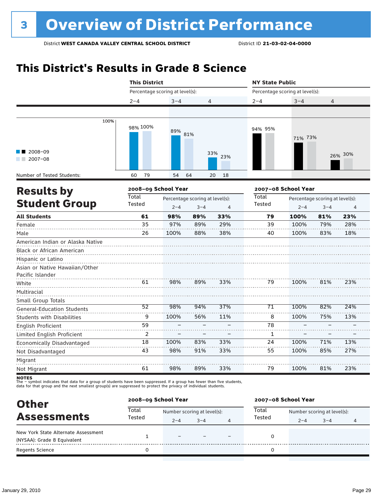## **This District's Results in Grade 8 Science**

|                                                                          | <b>This District</b><br>Percentage scoring at level(s): |         |                                 |                | <b>NY State Public</b> |                                 |                                 |         |  |
|--------------------------------------------------------------------------|---------------------------------------------------------|---------|---------------------------------|----------------|------------------------|---------------------------------|---------------------------------|---------|--|
|                                                                          |                                                         |         |                                 |                |                        | Percentage scoring at level(s): |                                 |         |  |
|                                                                          | $2 - 4$                                                 | $3 - 4$ | 4                               |                | $2 - 4$                | $3 - 4$                         | 4                               |         |  |
|                                                                          |                                                         |         |                                 |                |                        |                                 |                                 |         |  |
| 100%                                                                     | 98% 100%                                                | 89%     | 81%                             |                | 94% 95%                | 71% 73%                         |                                 |         |  |
| $2008 - 09$<br>$12007 - 08$                                              |                                                         |         |                                 | 33%<br>23%     |                        |                                 |                                 | 26% 30% |  |
| Number of Tested Students:                                               | 60<br>79                                                | 54      | 64                              | 20<br>18       |                        |                                 |                                 |         |  |
|                                                                          | 2008-09 School Year                                     |         |                                 |                |                        | 2007-08 School Year             |                                 |         |  |
| <b>Results by</b>                                                        | <b>Total</b>                                            |         | Percentage scoring at level(s): |                | <b>Total</b>           |                                 | Percentage scoring at level(s): |         |  |
| <b>Student Group</b>                                                     | Tested                                                  | $2 - 4$ | $3 - 4$                         | $\overline{4}$ | Tested                 | $2 - 4$                         | $3 - 4$                         | 4       |  |
| <b>All Students</b>                                                      | 61                                                      | 98%     | 89%                             | 33%            | 79                     | 100%                            | 81%                             | 23%     |  |
| Female                                                                   | 35                                                      | 97%     | 89%                             | 29%            | 39                     | 100%                            | 79%                             | 28%     |  |
| Male                                                                     | 26                                                      | 100%    | 88%                             | 38%            | 40                     | 100%                            | 83%                             | 18%     |  |
| American Indian or Alaska Native<br>Black or African American            |                                                         |         |                                 |                |                        |                                 |                                 |         |  |
| Hispanic or Latino<br>Asian or Native Hawaiian/Other<br>Pacific Islander |                                                         |         |                                 |                |                        |                                 |                                 |         |  |
| White<br>Multiracial                                                     | 61                                                      | 98%     | 89%                             | 33%            | 79                     | 100%                            | 81%                             | 23%     |  |
| Small Group Totals                                                       |                                                         |         |                                 |                |                        |                                 |                                 |         |  |
| <b>General-Education Students</b>                                        | 52                                                      | 98%     | 94%                             | 37%            | 71                     | 100%                            | 82%                             | 24%     |  |
| <b>Students with Disabilities</b>                                        | 9                                                       | 100%    | 56%                             | 11%            | 8                      | 100%                            | 75%                             | 13%     |  |
| <b>English Proficient</b>                                                | 59                                                      |         |                                 |                | 78                     |                                 |                                 |         |  |
| Limited English Proficient                                               | 2                                                       |         |                                 |                | 1                      |                                 |                                 |         |  |
| Economically Disadvantaged                                               | 18                                                      | 100%    | 83%                             | 33%            | 24                     | 100%                            | 71%                             | 13%     |  |
| Not Disadvantaged                                                        | 43                                                      | 98%     | 91%                             | 33%            | 55                     | 100%                            | 85%                             | 27%     |  |
| Migrant                                                                  |                                                         |         |                                 |                |                        |                                 |                                 |         |  |
| Not Migrant                                                              | 61                                                      | 98%     | 89%                             | 33%            | 79                     | 100%                            | 81%                             | 23%     |  |

data for that group and the next smallest group(s) are suppressed to protect the privacy of individual students.

| <b>Other</b><br><b>Assessments</b>  | 2008-09 School Year |                             |         |   | 2007-08 School Year |                             |         |   |  |
|-------------------------------------|---------------------|-----------------------------|---------|---|---------------------|-----------------------------|---------|---|--|
|                                     | Total               | Number scoring at level(s): |         |   | Total               | Number scoring at level(s): |         |   |  |
|                                     | Tested              | $2 - 4$                     | $3 - 4$ | 4 | Tested              | $2 - 4$                     | $3 - 4$ | 4 |  |
| New York State Alternate Assessment |                     | $\overline{\phantom{0}}$    |         |   |                     |                             |         |   |  |
| (NYSAA): Grade 8 Equivalent         |                     |                             |         |   |                     |                             |         |   |  |
| <b>Regents Science</b>              |                     |                             |         |   |                     |                             |         |   |  |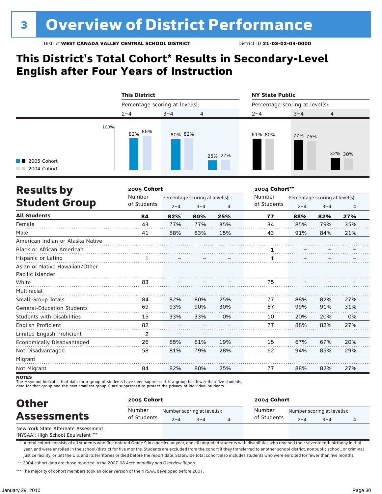### **This District's Total Cohort\* Results in Secondary-Level English after Four Years of Instruction**

|                                     | <b>This District</b> |                                 |                | <b>NY State Public</b><br>Percentage scoring at level(s): |         |                |  |  |
|-------------------------------------|----------------------|---------------------------------|----------------|-----------------------------------------------------------|---------|----------------|--|--|
|                                     |                      | Percentage scoring at level(s): |                |                                                           |         |                |  |  |
|                                     | $2 - 4$              | $3 - 4$                         | $\overline{4}$ | $2 - 4$                                                   | $3 - 4$ | $\overline{4}$ |  |  |
| <b>1</b> 2005 Cohort<br>2004 Cohort | 100%<br>82% 88%      | 80% 82%                         | 25% 27%        | 81% 80%                                                   | 77% 75% | 32% 30%        |  |  |

| <b>Results by</b>                 | 2005 Cohort | 2004 Cohort**                   |         |     |             |                                 |         |     |  |
|-----------------------------------|-------------|---------------------------------|---------|-----|-------------|---------------------------------|---------|-----|--|
| <b>Student Group</b>              | Number      | Percentage scoring at level(s): |         |     | Number      | Percentage scoring at level(s): |         |     |  |
|                                   | of Students | $2 - 4$                         | $3 - 4$ | 4   | of Students | $2 - 4$                         | $3 - 4$ | 4   |  |
| <b>All Students</b>               | 84          | 82%                             | 80%     | 25% | 77          | 88%                             | 82%     | 27% |  |
| Female                            | 43          | 77%                             | 77%     | 35% | 34          | 85%                             | 79%     | 35% |  |
| Male                              | 41          | 88%                             | 83%     | 15% | 43          | 91%                             | 84%     | 21% |  |
| American Indian or Alaska Native  |             |                                 |         |     |             |                                 |         |     |  |
| <b>Black or African American</b>  |             |                                 |         |     |             |                                 |         |     |  |
| Hispanic or Latino                |             |                                 |         |     |             |                                 |         |     |  |
| Asian or Native Hawaiian/Other    |             |                                 |         |     |             |                                 |         |     |  |
| Pacific Islander                  |             |                                 |         |     |             |                                 |         |     |  |
| White                             | 83          |                                 |         |     | 75          |                                 |         |     |  |
| Multiracial                       |             |                                 |         |     |             |                                 |         |     |  |
| Small Group Totals                | 84          | 82%                             | 80%     | 25% | 77          | 88%                             | 82%     | 27% |  |
| <b>General-Education Students</b> | 69          | 93%                             | 90%     | 30% | 67          | 99%                             | 91%     | 31% |  |
| <b>Students with Disabilities</b> | 15          | 33%                             | 33%     | 0%  | 10          | 20%                             | 20%     | 0%  |  |
| English Proficient                | 82          |                                 |         |     | 77          | 88%                             | 82%     | 27% |  |
| Limited English Proficient        | 2           |                                 |         |     |             |                                 |         |     |  |
| Economically Disadvantaged        | 26          | 85%                             | 81%     | 19% | 15          | 67%                             | 67%     | 20% |  |
| Not Disadvantaged                 | 58          | 81%                             | 79%     | 28% | 62          | 94%                             | 85%     | 29% |  |
| Migrant                           |             |                                 |         |     |             |                                 |         |     |  |
| Not Migrant                       | 84          | 82%                             | 80%     | 25% | 77          | 88%                             | 82%     | 27% |  |

**NOTES** 

The – symbol indicates that data for a group of students have been suppressed. If a group has fewer than five students,

data for that group and the next smallest group(s) are suppressed to protect the privacy of individual students.

| <b>Other</b><br><b>Assessments</b>  | 2005 Cohort           |         |                                        | 2004 Cohort           |         |                                        |  |  |  |
|-------------------------------------|-----------------------|---------|----------------------------------------|-----------------------|---------|----------------------------------------|--|--|--|
|                                     | Number<br>of Students | $2 - 4$ | Number scoring at level(s):<br>$3 - 4$ | Number<br>of Students | $2 - 4$ | Number scoring at level(s):<br>$3 - 4$ |  |  |  |
| New York State Alternate Assessment |                       |         |                                        |                       |         |                                        |  |  |  |

(NYSAA): High School Equivalent \*\*\*

\* A total cohort consists of all students who first entered Grade 9 in a particular year, and all ungraded students with disabilities who reached their seventeenth birthday in that year, and were enrolled in the school/district for five months. Students are excluded from the cohort if they transferred to another school district, nonpublic school, or criminal justice facility, or left the U.S. and its territories or died before the report date. Statewide total cohort also includes students who were enrolled for fewer than five months.

\*\* 2004 cohort data are those reported in the 2007-08 *Accountability and Overview Report*.

\*\*\* The majority of cohort members took an older version of the NYSAA, developed before 2007.